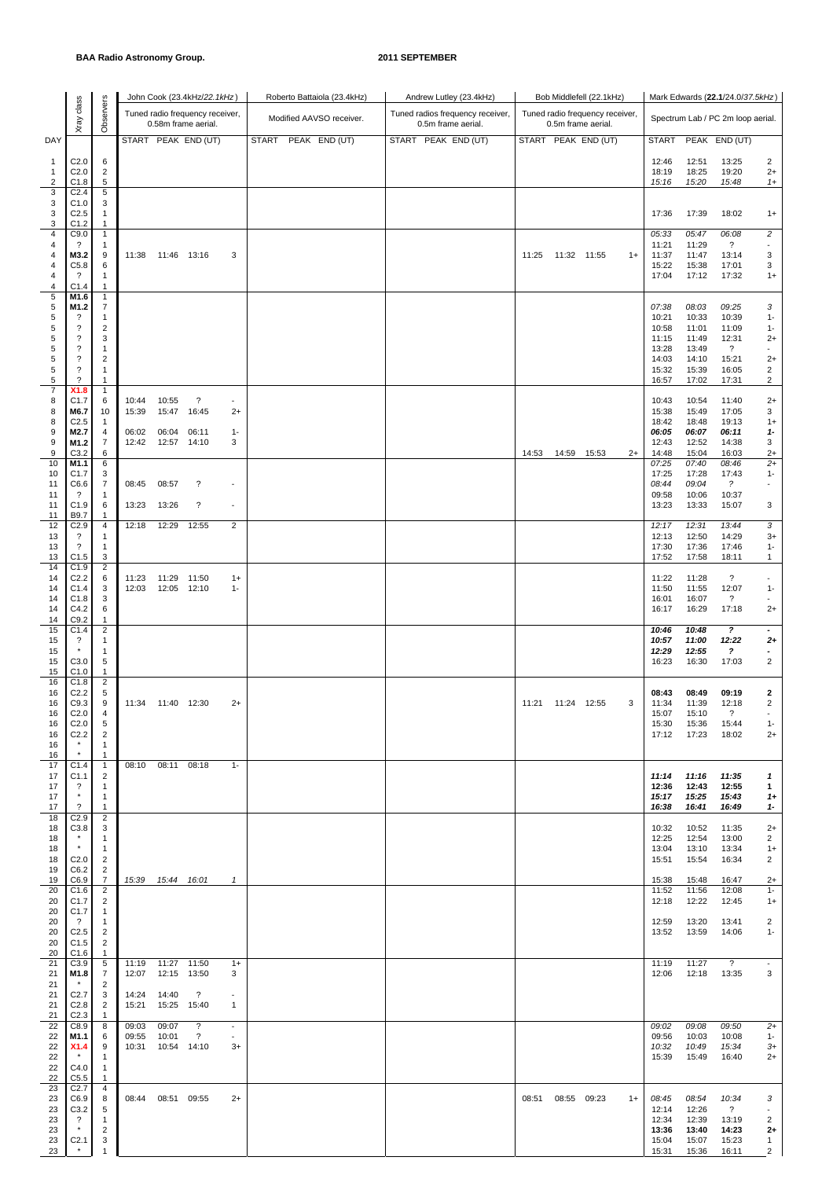|                |                                          |                         |                |                     | John Cook (23.4kHz/22.1kHz)     |                          | Roberto Battaiola (23.4kHz) | Andrew Lutley (23.4kHz)          |       |             | Bob Middlefell (22.1kHz)        |      |                |                | Mark Edwards (22.1/24.0/37.5kHz)  |                              |
|----------------|------------------------------------------|-------------------------|----------------|---------------------|---------------------------------|--------------------------|-----------------------------|----------------------------------|-------|-------------|---------------------------------|------|----------------|----------------|-----------------------------------|------------------------------|
|                | Xray dass                                | Observers               |                |                     | Tuned radio frequency receiver, |                          | Modified AAVSO receiver.    | Tuned radios frequency receiver, |       |             | Tuned radio frequency receiver, |      |                |                |                                   |                              |
|                |                                          |                         |                |                     | 0.58m frame aerial.             |                          |                             | 0.5m frame aerial.               |       |             | 0.5m frame aerial.              |      |                |                | Spectrum Lab / PC 2m loop aerial. |                              |
| DAY            |                                          |                         |                |                     | START PEAK END (UT)             |                          | PEAK END (UT)<br>START      | START PEAK END (UT)              |       |             | START PEAK END (UT)             |      | <b>START</b>   |                | PEAK END (UT)                     |                              |
| 1              | C <sub>2.0</sub>                         | 6                       |                |                     |                                 |                          |                             |                                  |       |             |                                 |      | 12:46          | 12:51          | 13:25                             | $\overline{2}$               |
| 1              | C <sub>2.0</sub>                         | $\overline{c}$          |                |                     |                                 |                          |                             |                                  |       |             |                                 |      | 18:19          | 18:25          | 19:20                             | $2+$                         |
| $\overline{2}$ | C1.8                                     | 5                       |                |                     |                                 |                          |                             |                                  |       |             |                                 |      | 15:16          | 15:20          | 15:48                             | $1+$                         |
| 3<br>3         | C <sub>2.4</sub><br>C1.0                 | 5<br>3                  |                |                     |                                 |                          |                             |                                  |       |             |                                 |      |                |                |                                   |                              |
| 3              | C <sub>2.5</sub>                         | 1                       |                |                     |                                 |                          |                             |                                  |       |             |                                 |      | 17:36          | 17:39          | 18:02                             | $1+$                         |
| 3              | C1.2                                     | 1                       |                |                     |                                 |                          |                             |                                  |       |             |                                 |      |                |                |                                   |                              |
| 4<br>4         | C9.0<br>$\gamma$                         | $\mathbf{1}$<br>1       |                |                     |                                 |                          |                             |                                  |       |             |                                 |      | 05:33<br>11:21 | 05:47<br>11:29 | 06:08<br>$\ddot{\phantom{0}}$     | $\overline{c}$               |
| 4              | M3.2                                     | 9                       |                | 11:38  11:46  13:16 |                                 | 3                        |                             |                                  | 11:25 | 11:32 11:55 |                                 | $1+$ | 11:37          | 11:47          | 13:14                             | 3                            |
| 4              | C5.8                                     | 6                       |                |                     |                                 |                          |                             |                                  |       |             |                                 |      | 15:22          | 15:38          | 17:01                             | 3                            |
| 4<br>4         | ?<br>C1.4                                | 1<br>$\mathbf{1}$       |                |                     |                                 |                          |                             |                                  |       |             |                                 |      | 17:04          | 17:12          | 17:32                             | $1+$                         |
| 5              | M1.6                                     | $\mathbf{1}$            |                |                     |                                 |                          |                             |                                  |       |             |                                 |      |                |                |                                   |                              |
| 5              | M1.2                                     | 7                       |                |                     |                                 |                          |                             |                                  |       |             |                                 |      | 07:38          | 08:03          | 09:25                             | 3                            |
| 5<br>5         | ?<br>$\overline{\cdot}$                  | 1<br>2                  |                |                     |                                 |                          |                             |                                  |       |             |                                 |      | 10:21<br>10:58 | 10:33<br>11:01 | 10:39<br>11:09                    | $1 -$<br>$1 -$               |
| 5              | $\overline{\cdot}$                       | 3                       |                |                     |                                 |                          |                             |                                  |       |             |                                 |      | 11:15          | 11:49          | 12:31                             | $2+$                         |
| 5              | $\overline{\cdot}$                       | 1                       |                |                     |                                 |                          |                             |                                  |       |             |                                 |      | 13:28          | 13:49          | ?                                 | $\sim$                       |
| 5<br>5         | $\overline{\cdot}$<br>$\overline{\cdot}$ | $\overline{2}$<br>1     |                |                     |                                 |                          |                             |                                  |       |             |                                 |      | 14:03<br>15:32 | 14:10<br>15:39 | 15:21<br>16:05                    | $2+$<br>$\overline{2}$       |
| 5              | $\overline{\phantom{a}}$                 | $\mathbf{1}$            |                |                     |                                 |                          |                             |                                  |       |             |                                 |      | 16:57          | 17:02          | 17:31                             | $\overline{c}$               |
| $\overline{7}$ | X1.8                                     | $\mathbf{1}$            |                |                     |                                 |                          |                             |                                  |       |             |                                 |      |                |                |                                   |                              |
| 8<br>8         | C1.7<br>M6.7                             | 6<br>10                 | 10:44<br>15:39 | 10:55<br>15:47      | $\ddot{\phantom{0}}$<br>16:45   | $\blacksquare$<br>$2+$   |                             |                                  |       |             |                                 |      | 10:43<br>15:38 | 10:54<br>15:49 | 11:40<br>17:05                    | $2+$<br>3                    |
| 8              | C <sub>2.5</sub>                         | 1                       |                |                     |                                 |                          |                             |                                  |       |             |                                 |      | 18:42          | 18:48          | 19:13                             | $1+$                         |
| 9              | M2.7                                     | 4                       | 06:02          | 06:04               | 06:11                           | $1 -$                    |                             |                                  |       |             |                                 |      | 06:05          | 06:07          | 06:11                             | $1 -$                        |
| 9<br>9         | M1.2                                     | 7                       | 12:42          | 12:57               | 14:10                           | 3                        |                             |                                  |       |             |                                 |      | 12:43          | 12:52          | 14:38                             | 3                            |
| 10             | C3.2<br>M1.1                             | 6<br>6                  |                |                     |                                 |                          |                             |                                  | 14:53 |             | 14:59 15:53                     | $2+$ | 14:48<br>07:25 | 15:04<br>07:40 | 16:03<br>08:46                    | $2+$<br>$2+$                 |
| 10             | C <sub>1.7</sub>                         | 3                       |                |                     |                                 |                          |                             |                                  |       |             |                                 |      | 17:25          | 17:28          | 17:43                             | $1 -$                        |
| 11<br>11       | C6.6<br>?                                | 7                       | 08:45          | 08:57               | $\ddot{\phantom{0}}$            | $\sim$                   |                             |                                  |       |             |                                 |      | 08:44<br>09:58 | 09:04<br>10:06 | $\tilde{z}$<br>10:37              |                              |
| 11             | C1.9                                     | $\mathbf{1}$<br>6       | 13:23          | 13:26               | ?                               | $\sim$                   |                             |                                  |       |             |                                 |      | 13:23          | 13:33          | 15:07                             | 3                            |
| 11             | B9.7                                     | 1                       |                |                     |                                 |                          |                             |                                  |       |             |                                 |      |                |                |                                   |                              |
| 12<br>13       | C2.9<br>$\overline{\cdot}$               | 4<br>1                  | 12:18          | 12:29               | 12:55                           | 2                        |                             |                                  |       |             |                                 |      | 12:17<br>12:13 | 12:31<br>12:50 | 13:44<br>14:29                    | 3<br>$3+$                    |
| 13             | $\overline{\cdot}$                       | $\mathbf{1}$            |                |                     |                                 |                          |                             |                                  |       |             |                                 |      | 17:30          | 17:36          | 17:46                             | $1 -$                        |
| 13             | C1.5                                     | 3                       |                |                     |                                 |                          |                             |                                  |       |             |                                 |      | 17:52          | 17:58          | 18:11                             | $\mathbf{1}$                 |
| 14<br>14       | C1.9<br>C <sub>2.2</sub>                 | $\overline{2}$<br>6     | 11:23          | 11:29               | 11:50                           | $1+$                     |                             |                                  |       |             |                                 |      | 11:22          | 11:28          | $\overline{\phantom{a}}$          | $\sim$                       |
| 14             | C1.4                                     | 3                       | 12:03          | 12:05 12:10         |                                 | $1 -$                    |                             |                                  |       |             |                                 |      | 11:50          | 11:55          | 12:07                             | $1 -$                        |
| 14             | C1.8                                     | 3                       |                |                     |                                 |                          |                             |                                  |       |             |                                 |      | 16:01          | 16:07          | ?                                 |                              |
| 14<br>14       | C4.2<br>C9.2                             | 6<br>1                  |                |                     |                                 |                          |                             |                                  |       |             |                                 |      | 16:17          | 16:29          | 17:18                             | $2+$                         |
| 15             | C1.4                                     | $\sqrt{2}$              |                |                     |                                 |                          |                             |                                  |       |             |                                 |      | 10:46          | 10:48          | $\boldsymbol{\mathcal{P}}$        | $\overline{\phantom{a}}$     |
| 15             | ?                                        | 1                       |                |                     |                                 |                          |                             |                                  |       |             |                                 |      | 10:57          | 11:00          | 12:22                             | $2+$                         |
| 15<br>15       | C3.0                                     | $\mathbf{1}$<br>5       |                |                     |                                 |                          |                             |                                  |       |             |                                 |      | 12:29          | 12:55<br>16:30 | ?<br>17:03                        | ٠<br>$\overline{2}$          |
| 15             | C1.0                                     | $\mathbf{1}$            |                |                     |                                 |                          |                             |                                  |       |             |                                 |      | 16:23          |                |                                   |                              |
| 16             | C1.8                                     | $\overline{\mathbf{c}}$ |                |                     |                                 |                          |                             |                                  |       |             |                                 |      |                |                |                                   |                              |
| 16<br>16       | C <sub>2.2</sub><br>C9.3                 | 5<br>9                  | 11:34          | 11:40 12:30         |                                 | $2+$                     |                             |                                  | 11:21 | 11:24 12:55 |                                 | 3    | 08:43<br>11:34 | 08:49<br>11:39 | 09:19<br>12:18                    | 2<br>$\overline{2}$          |
| 16             | C <sub>2.0</sub>                         | $\overline{4}$          |                |                     |                                 |                          |                             |                                  |       |             |                                 |      | 15:07          | 15:10          | $\overline{\phantom{0}}$          | $\overline{\phantom{a}}$     |
| 16             | C <sub>2.0</sub>                         | 5                       |                |                     |                                 |                          |                             |                                  |       |             |                                 |      | 15:30          | 15:36          | 15:44                             | $1 -$                        |
| 16<br>16       | C <sub>2.2</sub>                         | $\overline{2}$<br>1     |                |                     |                                 |                          |                             |                                  |       |             |                                 |      | 17:12          | 17:23          | 18:02                             | $2+$                         |
| 16             |                                          | -1                      |                |                     |                                 |                          |                             |                                  |       |             |                                 |      |                |                |                                   |                              |
| 17             | C1.4                                     | $\mathbf{1}$            | 08:10          | 08:11 08:18         |                                 | $1 -$                    |                             |                                  |       |             |                                 |      |                |                |                                   |                              |
| 17<br>17       | C <sub>1.1</sub><br>?                    | $\overline{2}$<br>1     |                |                     |                                 |                          |                             |                                  |       |             |                                 |      | 11:14<br>12:36 | 11:16<br>12:43 | 11:35<br>12:55                    | $\mathbf{1}$<br>1            |
| 17             | $\star$                                  | 1                       |                |                     |                                 |                          |                             |                                  |       |             |                                 |      | 15:17          | 15:25          | 15:43                             | $1+$                         |
| 17             | $\overline{\cdot}$                       | 1                       |                |                     |                                 |                          |                             |                                  |       |             |                                 |      | 16:38          | 16:41          | 16:49                             | $1 -$                        |
| 18<br>18       | C2.9<br>C3.8                             | $\overline{2}$<br>3     |                |                     |                                 |                          |                             |                                  |       |             |                                 |      | 10:32          | 10:52          | 11:35                             | $2+$                         |
| 18             |                                          | $\mathbf{1}$            |                |                     |                                 |                          |                             |                                  |       |             |                                 |      | 12:25          | 12:54          | 13:00                             | $\overline{2}$               |
| 18             | $\star$                                  | 1                       |                |                     |                                 |                          |                             |                                  |       |             |                                 |      | 13:04          | 13:10          | 13:34                             | $1+$                         |
| 18<br>19       | C <sub>2.0</sub><br>C6.2                 | 2<br>2                  |                |                     |                                 |                          |                             |                                  |       |             |                                 |      | 15:51          | 15:54          | 16:34                             | $\overline{2}$               |
| 19             | C6.9                                     | 7                       |                | 15:39  15:44  16:01 |                                 | $\mathbf{1}$             |                             |                                  |       |             |                                 |      | 15:38          | 15:48          | 16:47                             | $2+$                         |
| 20             | C <sub>1.6</sub>                         | $\overline{c}$          |                |                     |                                 |                          |                             |                                  |       |             |                                 |      | 11:52          | 11:56          | 12:08                             | $1 -$                        |
| 20<br>20       | C1.7<br>C1.7                             | 2<br>$\mathbf{1}$       |                |                     |                                 |                          |                             |                                  |       |             |                                 |      | 12:18          | 12:22          | 12:45                             | $1+$                         |
| 20             | $\gamma$                                 | -1                      |                |                     |                                 |                          |                             |                                  |       |             |                                 |      | 12:59          | 13:20          | 13:41                             | 2                            |
| 20             | C <sub>2.5</sub>                         | $\overline{2}$          |                |                     |                                 |                          |                             |                                  |       |             |                                 |      | 13:52          | 13:59          | 14:06                             | $1 -$                        |
| 20<br>20       | C1.5<br>C1.6                             | $\overline{2}$<br>-1    |                |                     |                                 |                          |                             |                                  |       |             |                                 |      |                |                |                                   |                              |
| 21             | C3.9                                     | 5                       | 11:19          | 11:27 11:50         |                                 | $1+$                     |                             |                                  |       |             |                                 |      | 11:19          | 11:27          | $\overline{\phantom{0}}$          | $\overline{\phantom{a}}$     |
| 21             | M1.8                                     | $\overline{7}$          | 12:07          | 12:15               | 13:50                           | 3                        |                             |                                  |       |             |                                 |      | 12:06          | 12:18          | 13:35                             | 3                            |
| 21<br>21       | C <sub>2.7</sub>                         | 2<br>3                  | 14:24          | 14:40               | $\overline{\mathcal{E}}$        | $\overline{\phantom{a}}$ |                             |                                  |       |             |                                 |      |                |                |                                   |                              |
| 21             | C <sub>2.8</sub>                         | 2                       | 15:21          | 15:25               | 15:40                           | $\mathbf{1}$             |                             |                                  |       |             |                                 |      |                |                |                                   |                              |
| 21             | C <sub>2.3</sub>                         | 1                       |                |                     |                                 |                          |                             |                                  |       |             |                                 |      |                |                |                                   |                              |
| 22<br>22       | C8.9<br>M1.1                             | 8<br>6                  | 09:03<br>09:55 | 09:07<br>10:01      | ?<br>$\overline{\mathcal{E}}$   | $\sim$<br>$\sim$         |                             |                                  |       |             |                                 |      | 09:02<br>09:56 | 09:08<br>10:03 | 09:50<br>10:08                    | $2+$<br>$1 -$                |
| 22             | X1.4                                     | 9                       | 10:31          | 10:54 14:10         |                                 | $3+$                     |                             |                                  |       |             |                                 |      | 10:32          | 10:49          | 15:34                             | $3+$                         |
| 22             | $\star$                                  | 1                       |                |                     |                                 |                          |                             |                                  |       |             |                                 |      | 15:39          | 15:49          | 16:40                             | $2+$                         |
| 22<br>22       | C4.0<br>C5.5                             | $\mathbf{1}$<br>1       |                |                     |                                 |                          |                             |                                  |       |             |                                 |      |                |                |                                   |                              |
| 23             | C <sub>2.7</sub>                         | 4                       |                |                     |                                 |                          |                             |                                  |       |             |                                 |      |                |                |                                   |                              |
| 23             | C6.9                                     | 8                       | 08:44          | 08:51 09:55         |                                 | $2+$                     |                             |                                  | 08:51 | 08:55 09:23 |                                 | $1+$ | 08:45          | 08:54          | 10:34                             | 3                            |
| 23<br>23       | C3.2<br>?                                | 5<br>1                  |                |                     |                                 |                          |                             |                                  |       |             |                                 |      | 12:14<br>12:34 | 12:26<br>12:39 | $\overline{\mathcal{E}}$<br>13:19 | $\overline{2}$               |
| 23             | $\star$                                  | 2                       |                |                     |                                 |                          |                             |                                  |       |             |                                 |      | 13:36          | 13:40          | 14:23                             | $2+$                         |
| 23<br>23       | C <sub>2.1</sub>                         | 3<br>1                  |                |                     |                                 |                          |                             |                                  |       |             |                                 |      | 15:04<br>15:31 | 15:07<br>15:36 | 15:23<br>16:11                    | $\mathbf{1}$<br>$\mathbf{2}$ |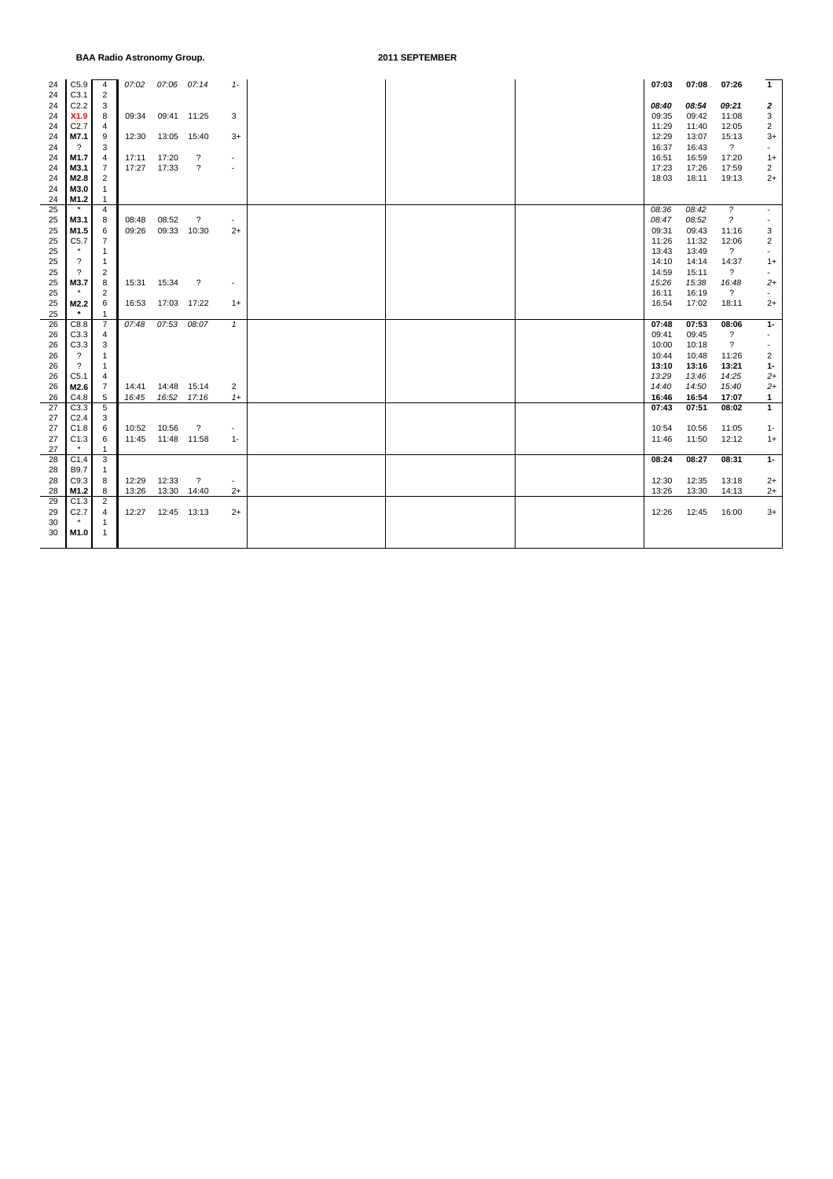| 24       | C5.9                     | 4                   | 07:02 | 07:06 07:14         |                          | $1-$                     |  | 07:03          | 07:08          | 07:26                             | $\mathbf{1}$             |
|----------|--------------------------|---------------------|-------|---------------------|--------------------------|--------------------------|--|----------------|----------------|-----------------------------------|--------------------------|
| 24       | C3.1                     | $\overline{2}$      |       |                     |                          |                          |  |                |                |                                   |                          |
| 24       | C2.2                     | 3                   |       |                     |                          |                          |  | 08:40          | 08:54          | 09.21                             | $\mathbf{z}$             |
| 24       | X1.9                     | 8                   | 09:34 | 09:41 11:25         |                          | 3                        |  | 09:35          | 09:42          | 11:08                             | 3                        |
| 24       | C2.7                     | 4                   |       |                     |                          |                          |  | 11:29          | 11:40          | 12:05                             | $\overline{c}$<br>$3+$   |
| 24       | M7.1<br>$\gamma$         | 9<br>3              | 12:30 | 13:05 15:40         |                          | 3+                       |  | 12:29<br>16:37 | 13:07<br>16:43 | 15:13<br>$\overline{?}$           | $\overline{\phantom{a}}$ |
| 24<br>24 | M <sub>1.7</sub>         | 4                   | 17:11 | 17:20               | $\overline{\mathbf{?}}$  | $\overline{\phantom{a}}$ |  | 16:51          | 16:59          | 17:20                             | $1+$                     |
| 24       | M3.1                     | 7                   | 17:27 | 17:33               | $\overline{\mathcal{E}}$ | $\sim$                   |  | 17:23          | 17:26          | 17:59                             | 2                        |
| 24       | M2.8                     | 2                   |       |                     |                          |                          |  | 18:03          | 18:11          | 19:13                             | $2+$                     |
| 24       | M3.0                     | $\overline{1}$      |       |                     |                          |                          |  |                |                |                                   |                          |
| 24       | M1.2                     | 1                   |       |                     |                          |                          |  |                |                |                                   |                          |
| 25       | $\star$                  | $\overline{4}$      |       |                     |                          |                          |  | 08:36          | 08:42          | $\tilde{z}$                       | $\overline{\phantom{a}}$ |
| 25       | M3.1                     | 8                   | 08:48 | 08:52               | $\overline{\mathcal{E}}$ | $\blacksquare$           |  | 08:47          | 08:52          | $\tilde{z}$                       | $\overline{\phantom{a}}$ |
| 25       | M <sub>1.5</sub>         | 6                   | 09:26 | 09:33 10:30         |                          | $2+$                     |  | 09:31          | 09:43          | 11:16                             | 3                        |
| 25       | C5.7                     | $\overline{7}$      |       |                     |                          |                          |  | 11:26          | 11:32          | 12:06                             | $\overline{c}$           |
| 25       | $\star$                  | 1                   |       |                     |                          |                          |  | 13:43          | 13:49          | $\overline{?}$                    | $\blacksquare$           |
| 25       | $\overline{?}$           | 1                   |       |                     |                          |                          |  | 14:10          | 14:14          | 14:37                             | $1+$                     |
| 25       | $\overline{\mathcal{E}}$ | 2                   |       |                     |                          |                          |  | 14:59          | 15:11          | $\overline{?}$                    | $\overline{\phantom{a}}$ |
| 25       | M3.7                     | 8                   | 15:31 | 15:34               | ?                        | $\overline{\phantom{a}}$ |  | 15:26          | 15:38          | 16:48                             | $2+$                     |
| 25       | $\star$                  | $\overline{2}$      |       |                     |                          |                          |  | 16:11          | 16:19          | $\overline{\mathcal{E}}$          | $\sim$                   |
| 25       | M2.2                     | 6                   | 16:53 | 17:03 17:22         |                          | $1+$                     |  | 16:54          | 17:02          | 18:11                             | 2+                       |
| 25       | $\star$                  | $\mathbf{1}$        |       |                     |                          |                          |  |                |                |                                   |                          |
| 26<br>26 | C8.8<br>C3.3             | $\overline{7}$<br>4 | 07:48 | 07:53 08:07         |                          | $\mathbf{1}$             |  | 07:48<br>09:41 | 07:53<br>09:45 | 08:06<br>$\overline{\mathcal{E}}$ | $1 -$<br>$\sim$          |
| 26       | C3.3                     | 3                   |       |                     |                          |                          |  | 10:00          | 10:18          | $\overline{\mathcal{E}}$          | $\overline{\phantom{a}}$ |
| 26       | $\gamma$                 | $\mathbf{1}$        |       |                     |                          |                          |  | 10:44          | 10:48          | 11:26                             | 2                        |
| 26       | $\gamma$                 | $\mathbf{1}$        |       |                     |                          |                          |  | 13:10          | 13:16          | 13:21                             | $1 -$                    |
| 26       | C5.1                     | 4                   |       |                     |                          |                          |  | 13:29          | 13:46          | 14:25                             | $2+$                     |
| 26       | M2.6                     | 7                   | 14:41 |                     | 14:48 15:14              | 2                        |  | 14:40          | 14:50          | 15:40                             | $2+$                     |
| 26       | C4.8                     | 5                   | 16:45 | 16:52 17:16         |                          | $1+$                     |  | 16:46          | 16:54          | 17:07                             | $\mathbf{1}$             |
| 27       | C3.3                     | 5                   |       |                     |                          |                          |  | 07:43          | 07:51          | 08:02                             | $\mathbf{1}$             |
| 27       | C <sub>2.4</sub>         | 3                   |       |                     |                          |                          |  |                |                |                                   |                          |
| 27       | C1.8                     | 6                   | 10:52 | 10:56               | $\overline{\mathbf{?}}$  | $\overline{\phantom{a}}$ |  | 10:54          | 10:56          | 11:05                             | $1 -$                    |
| 27       | C1.3                     | 6                   |       | 11:45  11:48  11:58 |                          | $1 -$                    |  | 11:46          | 11:50          | 12:12                             | $1+$                     |
| 27       | $\star$                  | $\mathbf{1}$        |       |                     |                          |                          |  |                |                |                                   |                          |
| 28       | C1.4                     | 3                   |       |                     |                          |                          |  | 08:24          | 08:27          | 08:31                             | $1 -$                    |
| 28       | B9.7                     | -1                  |       |                     |                          |                          |  |                |                |                                   |                          |
| 28       | C9.3                     | 8                   | 12:29 | 12:33               | $\overline{?}$           | $\sim$                   |  | 12:30          | 12:35          | 13:18                             | $2+$                     |
| 28<br>29 | M1.2<br>C1.3             | 8<br>$\overline{2}$ | 13:26 | 13:30 14:40         |                          | $2+$                     |  | 13:26          | 13:30          | 14:13                             | $2+$                     |
| 29       | C <sub>2.7</sub>         | 4                   |       | 12:27  12:45  13:13 |                          | $2+$                     |  | 12:26          | 12:45          | 16:00                             | $3+$                     |
| 30       |                          | 1                   |       |                     |                          |                          |  |                |                |                                   |                          |
| 30       | M <sub>1.0</sub>         | $\mathbf{1}$        |       |                     |                          |                          |  |                |                |                                   |                          |
|          |                          |                     |       |                     |                          |                          |  |                |                |                                   |                          |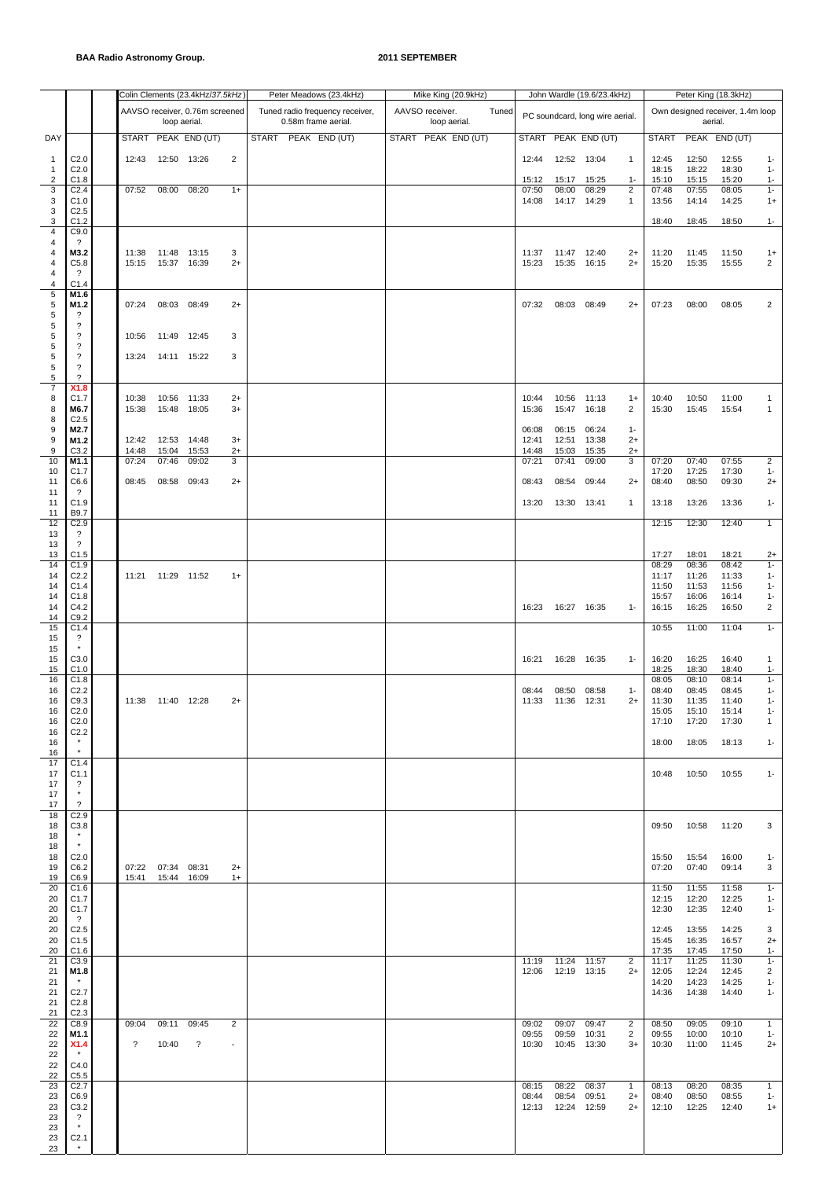|                              |                                                        |                          |                            | Colin Clements (23.4kHz/37.5kHz) |                          | Peter Meadows (23.4kHz)         |  |                 | Mike King (20.9kHz)                 |       |                |                      | John Wardle (19.6/23.4kHz)      |                      |                |                | Peter King (18.3kHz)             |                       |
|------------------------------|--------------------------------------------------------|--------------------------|----------------------------|----------------------------------|--------------------------|---------------------------------|--|-----------------|-------------------------------------|-------|----------------|----------------------|---------------------------------|----------------------|----------------|----------------|----------------------------------|-----------------------|
|                              |                                                        |                          |                            | AAVSO receiver, 0.76m screened   |                          | Tuned radio frequency receiver, |  | AAVSO receiver. |                                     | Tuned |                |                      | PC soundcard, long wire aerial. |                      |                |                | Own designed receiver, 1.4m loop |                       |
|                              |                                                        |                          | loop aerial.               |                                  |                          | 0.58m frame aerial.             |  |                 | loop aerial.<br>START PEAK END (UT) |       |                |                      |                                 |                      | <b>START</b>   |                | aerial.                          |                       |
| DAY                          |                                                        |                          |                            | START PEAK END (UT)              |                          | START PEAK END (UT)             |  |                 |                                     |       |                |                      | START PEAK END (UT)             |                      |                |                | PEAK END (UT)                    |                       |
| $\mathbf{1}$<br>$\mathbf{1}$ | C <sub>2.0</sub><br>C <sub>2.0</sub>                   | 12:43                    | 12:50 13:26                |                                  | $\overline{c}$           |                                 |  |                 |                                     |       | 12:44          | 12:52 13:04          |                                 | $\mathbf{1}$         | 12:45<br>18:15 | 12:50<br>18:22 | 12:55<br>18:30                   | $1 -$<br>$1 -$        |
| 2                            | C1.8                                                   |                          |                            |                                  |                          |                                 |  |                 |                                     |       | 15:12          | 15:17                | 15:25                           | $1 -$                | 15:10          | 15:15          | 15:20                            | $1 -$                 |
| 3<br>3                       | C <sub>2.4</sub><br>C1.0                               | 07:52                    | 08:00                      | 08:20                            | $1+$                     |                                 |  |                 |                                     |       | 07:50<br>14:08 | 08:00<br>14:17       | 08:29<br>14:29                  | 2<br>1               | 07:48<br>13:56 | 07:55<br>14:14 | 08:05<br>14:25                   | $1 -$<br>$1+$         |
| 3<br>3                       | C <sub>2.5</sub><br>C1.2                               |                          |                            |                                  |                          |                                 |  |                 |                                     |       |                |                      |                                 |                      | 18:40          | 18:45          | 18:50                            | $1 -$                 |
| 4                            | C9.0                                                   |                          |                            |                                  |                          |                                 |  |                 |                                     |       |                |                      |                                 |                      |                |                |                                  |                       |
| 4<br>4                       | ?<br>M3.2                                              | 11:38                    | 11:48                      | 13:15                            | 3                        |                                 |  |                 |                                     |       | 11:37          | 11:47                | 12:40                           | $2+$                 | 11:20          | 11:45          | 11:50                            | $1+$                  |
| 4<br>4                       | C5.8<br>?                                              | 15:15                    | 15:37                      | 16:39                            | $2+$                     |                                 |  |                 |                                     |       | 15:23          | 15:35 16:15          |                                 | $2+$                 | 15:20          | 15:35          | 15:55                            | 2                     |
| 4                            | C1.4                                                   |                          |                            |                                  |                          |                                 |  |                 |                                     |       |                |                      |                                 |                      |                |                |                                  |                       |
| 5<br>5                       | M1.6<br>M1.2                                           | 07:24                    | 08:03 08:49                |                                  | $2+$                     |                                 |  |                 |                                     |       | 07:32          | 08:03                | 08:49                           | $2+$                 | 07:23          | 08:00          | 08:05                            | $\overline{2}$        |
| $\,$ 5 $\,$<br>5             | ?<br>$\boldsymbol{\mathcal{P}}$                        |                          |                            |                                  |                          |                                 |  |                 |                                     |       |                |                      |                                 |                      |                |                |                                  |                       |
| 5                            | $\overline{\phantom{a}}$                               | 10:56                    | 11:49                      | 12:45                            | 3                        |                                 |  |                 |                                     |       |                |                      |                                 |                      |                |                |                                  |                       |
| 5<br>5                       | $\overline{\phantom{a}}$<br>$\overline{\phantom{a}}$   | 13:24                    | 14:11 15:22                |                                  | 3                        |                                 |  |                 |                                     |       |                |                      |                                 |                      |                |                |                                  |                       |
| 5<br>5                       | $\boldsymbol{\mathcal{P}}$<br>$\overline{\phantom{0}}$ |                          |                            |                                  |                          |                                 |  |                 |                                     |       |                |                      |                                 |                      |                |                |                                  |                       |
| $\overline{7}$               | X1.8                                                   |                          |                            |                                  |                          |                                 |  |                 |                                     |       |                |                      |                                 |                      |                |                |                                  |                       |
| 8<br>8                       | C1.7<br>M6.7                                           | 10:38<br>15:38           | 10:56 11:33<br>15:48       | 18:05                            | $2+$<br>$3+$             |                                 |  |                 |                                     |       | 10:44<br>15:36 | 10:56<br>15:47       | 11:13<br>16:18                  | $1+$<br>2            | 10:40<br>15:30 | 10:50<br>15:45 | 11:00<br>15:54                   | 1<br>1                |
| 8<br>9                       | C <sub>2.5</sub><br>M2.7                               |                          |                            |                                  |                          |                                 |  |                 |                                     |       | 06:08          | 06:15                | 06:24                           | $1 -$                |                |                |                                  |                       |
| 9                            | M1.2                                                   | 12:42                    | 12:53 14:48                |                                  | $3+$                     |                                 |  |                 |                                     |       | 12:41          | 12:51                | 13:38                           | $2+$                 |                |                |                                  |                       |
| 9<br>10                      | C3.2<br>M1.1                                           | 14:48<br>07:24           | 15:04<br>07:46             | 15:53<br>09:02                   | $2+$<br>3                |                                 |  |                 |                                     |       | 14:48<br>07:21 | 15:03<br>07:41       | 15:35<br>09:00                  | $2+$<br>3            | 07:20          | 07:40          | 07:55                            | $\overline{2}$        |
| 10<br>11                     | C1.7<br>C6.6                                           | 08:45                    | 08:58 09:43                |                                  | $2+$                     |                                 |  |                 |                                     |       | 08:43          | 08:54                | 09:44                           | $2+$                 | 17:20<br>08:40 | 17:25<br>08:50 | 17:30<br>09:30                   | $1 -$<br>2+           |
| 11                           | $\overline{\mathcal{L}}$                               |                          |                            |                                  |                          |                                 |  |                 |                                     |       |                |                      |                                 |                      |                |                |                                  |                       |
| 11<br>11                     | C1.9<br>B9.7                                           |                          |                            |                                  |                          |                                 |  |                 |                                     |       | 13:20          | 13:30 13:41          |                                 | $\mathbf{1}$         | 13:18          | 13:26          | 13:36                            | $1 -$                 |
| 12                           | C2.9<br>?                                              |                          |                            |                                  |                          |                                 |  |                 |                                     |       |                |                      |                                 |                      | 12:15          | 12:30          | 12:40                            | $\mathbf{1}$          |
| 13<br>13                     | $\overline{\mathcal{E}}$                               |                          |                            |                                  |                          |                                 |  |                 |                                     |       |                |                      |                                 |                      |                |                |                                  |                       |
| 13<br>14                     | C1.5<br>C1.9                                           |                          |                            |                                  |                          |                                 |  |                 |                                     |       |                |                      |                                 |                      | 17:27<br>08:29 | 18:01<br>08:36 | 18:21<br>08:42                   | $2+$<br>$1 -$         |
| 14                           | C <sub>2.2</sub>                                       | 11:21                    | 11:29 11:52                |                                  | $1+$                     |                                 |  |                 |                                     |       |                |                      |                                 |                      | 11:17          | 11:26          | 11:33                            | $1 -$                 |
| 14<br>14                     | C1.4<br>C1.8                                           |                          |                            |                                  |                          |                                 |  |                 |                                     |       |                |                      |                                 |                      | 11:50<br>15:57 | 11:53<br>16:06 | 11:56<br>16:14                   | $1 -$<br>$1 -$        |
| 14<br>14                     | C4.2<br>C9.2                                           |                          |                            |                                  |                          |                                 |  |                 |                                     |       | 16:23          | 16:27 16:35          |                                 | $1 -$                | 16:15          | 16:25          | 16:50                            | $\overline{2}$        |
| 15                           | C1.4                                                   |                          |                            |                                  |                          |                                 |  |                 |                                     |       |                |                      |                                 |                      | 10:55          | 11:00          | 11:04                            | $1 -$                 |
| 15<br>15                     | ?<br>$\star$                                           |                          |                            |                                  |                          |                                 |  |                 |                                     |       |                |                      |                                 |                      |                |                |                                  |                       |
| 15<br>15                     | C3.0<br>C1.0                                           |                          |                            |                                  |                          |                                 |  |                 |                                     |       | 16:21          | 16:28 16:35          |                                 | $1 -$                | 16:20<br>18:25 | 16:25<br>18:30 | 16:40<br>18:40                   | $\mathbf{1}$<br>$1 -$ |
| 16                           | C1.8                                                   |                          |                            |                                  |                          |                                 |  |                 |                                     |       |                |                      |                                 |                      | 08:05          | 08:10          | 08:14                            | $1 -$                 |
| 16<br>16                     | C <sub>2.2</sub><br>C9.3                               |                          | 11:38  11:40  12:28        |                                  | $2+$                     |                                 |  |                 |                                     |       | 08:44<br>11:33 | 08:50<br>11:36 12:31 | 08:58                           | $1 -$<br>$2+$        | 08:40<br>11:30 | 08:45<br>11:35 | 08:45<br>11:40                   | $1 -$<br>$1 -$        |
| 16<br>16                     | C2.0<br>C <sub>2.0</sub>                               |                          |                            |                                  |                          |                                 |  |                 |                                     |       |                |                      |                                 |                      | 15:05<br>17:10 | 15:10<br>17:20 | 15:14<br>17:30                   | $1 -$<br>1            |
| 16                           | C <sub>2.2</sub>                                       |                          |                            |                                  |                          |                                 |  |                 |                                     |       |                |                      |                                 |                      |                |                |                                  |                       |
| 16<br>16                     | $\pmb{\star}$<br>$^\star$                              |                          |                            |                                  |                          |                                 |  |                 |                                     |       |                |                      |                                 |                      | 18:00          | 18:05          | 18:13                            | $1 -$                 |
| 17<br>17                     | C1.4<br>C1.1                                           |                          |                            |                                  |                          |                                 |  |                 |                                     |       |                |                      |                                 |                      | 10:48          | 10:50          | 10:55                            | $1 -$                 |
| 17                           | $\overline{\cdot}$<br>$^\star$                         |                          |                            |                                  |                          |                                 |  |                 |                                     |       |                |                      |                                 |                      |                |                |                                  |                       |
| 17<br>17                     | $\overline{\phantom{0}}$                               |                          |                            |                                  |                          |                                 |  |                 |                                     |       |                |                      |                                 |                      |                |                |                                  |                       |
| 18<br>18                     | C2.9<br>C3.8                                           |                          |                            |                                  |                          |                                 |  |                 |                                     |       |                |                      |                                 |                      | 09:50          | 10:58          | 11:20                            | 3                     |
| 18                           | $\star$<br>$\star$                                     |                          |                            |                                  |                          |                                 |  |                 |                                     |       |                |                      |                                 |                      |                |                |                                  |                       |
| 18<br>18                     | C <sub>2.0</sub>                                       |                          |                            |                                  |                          |                                 |  |                 |                                     |       |                |                      |                                 |                      | 15:50          | 15:54          | 16:00                            | $1 -$                 |
| 19<br>19                     | C6.2<br>C6.9                                           | 07:22<br>15:41           | 07:34 08:31<br>15:44 16:09 |                                  | $2+$<br>$1+$             |                                 |  |                 |                                     |       |                |                      |                                 |                      | 07:20          | 07:40          | 09:14                            | 3                     |
| 20                           | C1.6                                                   |                          |                            |                                  |                          |                                 |  |                 |                                     |       |                |                      |                                 |                      | 11:50          | 11:55          | 11:58                            | $1 -$                 |
| 20<br>20                     | C <sub>1.7</sub><br>C1.7                               |                          |                            |                                  |                          |                                 |  |                 |                                     |       |                |                      |                                 |                      | 12:15<br>12:30 | 12:20<br>12:35 | 12:25<br>12:40                   | $1 -$<br>$1 -$        |
| 20<br>20                     | $\overline{\mathcal{E}}$<br>C <sub>2.5</sub>           |                          |                            |                                  |                          |                                 |  |                 |                                     |       |                |                      |                                 |                      | 12:45          | 13:55          | 14:25                            | 3                     |
| 20                           | C1.5                                                   |                          |                            |                                  |                          |                                 |  |                 |                                     |       |                |                      |                                 |                      | 15:45          | 16:35          | 16:57                            | $^{2+}$               |
| 20<br>21                     | C1.6<br>C3.9                                           |                          |                            |                                  |                          |                                 |  |                 |                                     |       | 11:19          | 11:24                | 11:57                           | $\overline{2}$       | 17:35<br>11:17 | 17:45<br>11:25 | 17:50<br>11:30                   | $1 -$<br>$1 -$        |
| 21<br>21                     | M1.8<br>$\star$                                        |                          |                            |                                  |                          |                                 |  |                 |                                     |       |                | 12:06  12:19  13:15  |                                 | $2+$                 | 12:05          | 12:24          | 12:45                            | $\overline{2}$        |
| 21                           | C <sub>2.7</sub>                                       |                          |                            |                                  |                          |                                 |  |                 |                                     |       |                |                      |                                 |                      | 14:20<br>14:36 | 14:23<br>14:38 | 14:25<br>14:40                   | $1 -$<br>$1 -$        |
| 21<br>21                     | C <sub>2.8</sub><br>C <sub>2.3</sub>                   |                          |                            |                                  |                          |                                 |  |                 |                                     |       |                |                      |                                 |                      |                |                |                                  |                       |
| 22<br>22                     | C8.9<br>M1.1                                           | 09:04                    | 09:11                      | 09:45                            | 2                        |                                 |  |                 |                                     |       | 09:02<br>09:55 | 09:07<br>09:59       | 09:47<br>10:31                  | $\overline{2}$<br>2  | 08:50<br>09:55 | 09:05<br>10:00 | 09:10<br>10:10                   | $\mathbf{1}$          |
| 22                           | X1.4                                                   | $\overline{\mathcal{E}}$ | 10:40                      | $\overline{\cdot}$               | $\overline{\phantom{a}}$ |                                 |  |                 |                                     |       | 10:30          | 10:45 13:30          |                                 | $3+$                 | 10:30          | 11:00          | 11:45                            | $1 -$<br>$2+$         |
| 22<br>22                     | $\star$<br>C4.0                                        |                          |                            |                                  |                          |                                 |  |                 |                                     |       |                |                      |                                 |                      |                |                |                                  |                       |
| 22<br>23                     | C5.5<br>C2.7                                           |                          |                            |                                  |                          |                                 |  |                 |                                     |       | 08:15          | 08:22                |                                 |                      | 08:13          |                |                                  | 1                     |
| 23                           | C6.9                                                   |                          |                            |                                  |                          |                                 |  |                 |                                     |       | 08:44          | 08:54                | 08:37<br>09:51                  | $\mathbf{1}$<br>$2+$ | 08:40          | 08:20<br>08:50 | 08:35<br>08:55                   | $1 -$                 |
| 23<br>23                     | C3.2<br>$\cdot$                                        |                          |                            |                                  |                          |                                 |  |                 |                                     |       | 12:13          | 12:24                | 12:59                           | $2+$                 | 12:10          | 12:25          | 12:40                            | $1+$                  |
| 23<br>23                     | $\star$<br>C <sub>2.1</sub>                            |                          |                            |                                  |                          |                                 |  |                 |                                     |       |                |                      |                                 |                      |                |                |                                  |                       |
| 23                           | $\star$                                                |                          |                            |                                  |                          |                                 |  |                 |                                     |       |                |                      |                                 |                      |                |                |                                  |                       |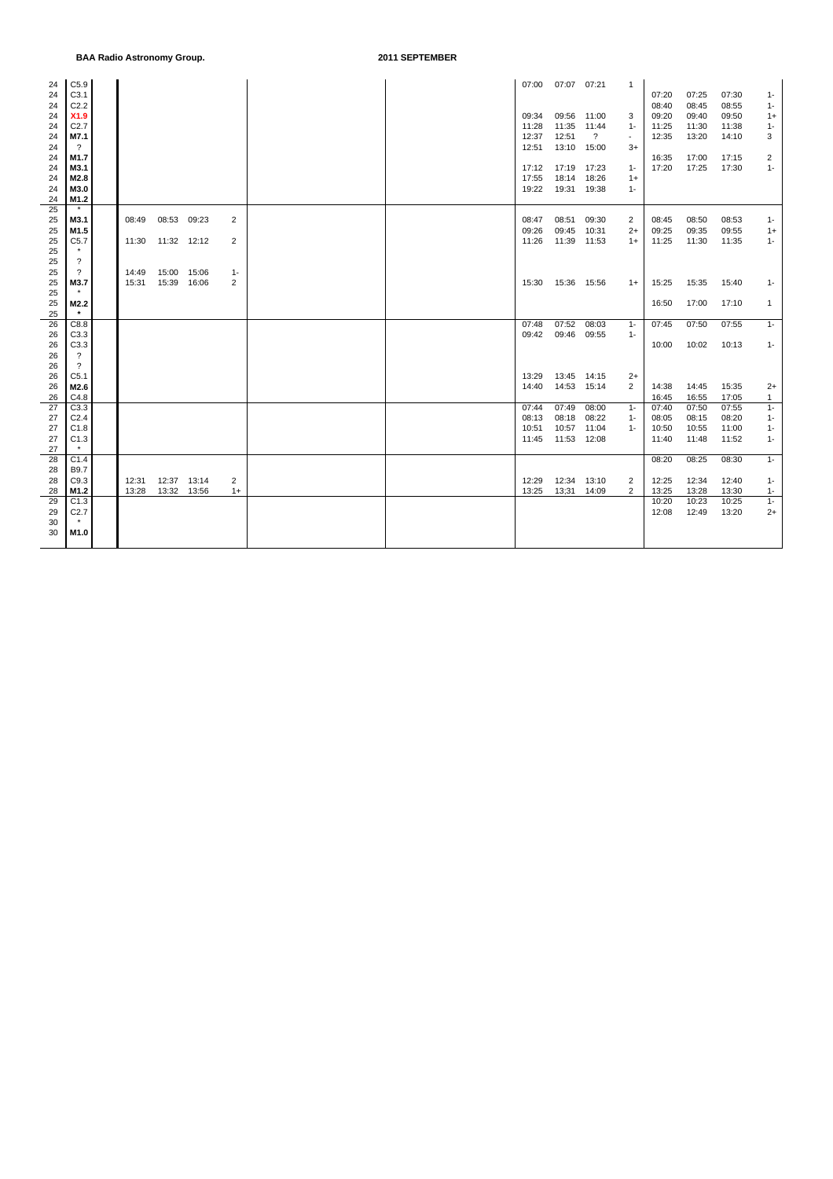| 24 | C5.9                     |                     |              |       |                |  |       | 07:00 07:07 07:21 |                | 1                        |       |       |       |       |
|----|--------------------------|---------------------|--------------|-------|----------------|--|-------|-------------------|----------------|--------------------------|-------|-------|-------|-------|
| 24 | C3.1                     |                     |              |       |                |  |       |                   |                |                          | 07:20 | 07:25 | 07:30 | 1-    |
| 24 | C2.2                     |                     |              |       |                |  |       |                   |                |                          | 08:40 | 08:45 | 08:55 | $1 -$ |
| 24 | X1.9                     |                     |              |       |                |  | 09:34 | 09:56             | 11:00          | 3                        | 09:20 | 09:40 | 09:50 | $1+$  |
| 24 | C <sub>2.7</sub>         |                     |              |       |                |  | 11:28 | 11:35             | 11:44          | $1 -$                    | 11:25 | 11:30 | 11:38 | $1 -$ |
| 24 | M7.1                     |                     |              |       |                |  | 12:37 | 12:51             | $\overline{?}$ | $\overline{\phantom{a}}$ | 12:35 | 13:20 | 14:10 | 3     |
| 24 | $\gamma$                 |                     |              |       |                |  | 12:51 | 13:10 15:00       |                | $3+$                     |       |       |       |       |
| 24 | M1.7                     |                     |              |       |                |  |       |                   |                |                          | 16:35 | 17:00 | 17:15 | 2     |
| 24 | M3.1                     |                     |              |       |                |  | 17:12 | 17:19             | 17:23          | $1 -$                    | 17:20 | 17:25 | 17:30 | $1 -$ |
| 24 | M2.8                     |                     |              |       |                |  | 17:55 | 18:14             | 18:26          | $1+$                     |       |       |       |       |
| 24 | M3.0                     |                     |              |       |                |  | 19:22 | 19:31 19:38       |                | $1 -$                    |       |       |       |       |
| 24 | M1.2                     |                     |              |       |                |  |       |                   |                |                          |       |       |       |       |
| 25 | $\star$                  |                     |              |       |                |  |       |                   |                |                          |       |       |       |       |
| 25 | M3.1                     | 08:49               | 08:53        | 09:23 | $\overline{2}$ |  | 08:47 | 08:51             | 09:30          | 2                        | 08:45 | 08:50 | 08:53 | $1 -$ |
| 25 | M1.5                     |                     |              |       |                |  | 09:26 | 09:45             | 10:31          | $2+$                     | 09:25 | 09:35 | 09:55 | $1+$  |
| 25 | C5.7                     | 11:30  11:32  12:12 |              |       | 2              |  | 11:26 | 11:39 11:53       |                | $1+$                     | 11:25 | 11:30 | 11:35 | $1 -$ |
| 25 |                          |                     |              |       |                |  |       |                   |                |                          |       |       |       |       |
| 25 | $\overline{\cdot}$       |                     |              |       |                |  |       |                   |                |                          |       |       |       |       |
|    |                          | 14:49               | 15:00        | 15:06 |                |  |       |                   |                |                          |       |       |       |       |
| 25 |                          |                     |              |       | $1 -$          |  |       |                   |                |                          |       |       |       |       |
| 25 | M3.7                     | 15:31               | 15:39 16:06  |       | 2              |  | 15:30 | 15:36 15:56       |                | $1+$                     | 15:25 | 15:35 | 15:40 | $1 -$ |
| 25 |                          |                     |              |       |                |  |       |                   |                |                          |       |       |       |       |
| 25 | M2.2<br>$\star$          |                     |              |       |                |  |       |                   |                |                          | 16:50 | 17:00 | 17:10 | 1     |
| 25 |                          |                     |              |       |                |  |       |                   |                |                          |       |       |       |       |
| 26 | C8.8                     |                     |              |       |                |  | 07:48 | 07:52             | 08:03          | $1 -$                    | 07:45 | 07:50 | 07:55 | $1 -$ |
| 26 | C3.3                     |                     |              |       |                |  | 09:42 | 09:46 09:55       |                | $1 -$                    |       |       |       |       |
| 26 | C3.3                     |                     |              |       |                |  |       |                   |                |                          | 10:00 | 10:02 | 10:13 | $1 -$ |
| 26 | $\overline{\mathcal{L}}$ |                     |              |       |                |  |       |                   |                |                          |       |       |       |       |
| 26 | $\overline{?}$           |                     |              |       |                |  |       |                   |                |                          |       |       |       |       |
| 26 | C <sub>5.1</sub>         |                     |              |       |                |  | 13:29 | 13:45             | 14:15          | $2+$                     |       |       |       |       |
| 26 | M2.6                     |                     |              |       |                |  | 14:40 | 14:53             | 15:14          | 2                        | 14:38 | 14:45 | 15:35 | $2+$  |
| 26 | C4.8                     |                     |              |       |                |  |       |                   |                |                          | 16:45 | 16:55 | 17:05 | 1     |
| 27 | C3.3                     |                     |              |       |                |  | 07:44 | 07:49             | 08:00          | $1 -$                    | 07:40 | 07:50 | 07:55 | $1 -$ |
| 27 | C2.4                     |                     |              |       |                |  | 08:13 | 08:18             | 08:22          | $1 -$                    | 08:05 | 08:15 | 08:20 | $1 -$ |
| 27 | C1.8                     |                     |              |       |                |  | 10:51 | 10:57             | 11:04          | $1 -$                    | 10:50 | 10:55 | 11:00 | $1 -$ |
| 27 | C1.3                     |                     |              |       |                |  | 11:45 | 11:53 12:08       |                |                          | 11:40 | 11:48 | 11:52 | $1 -$ |
| 27 | $\star$                  |                     |              |       |                |  |       |                   |                |                          |       |       |       |       |
| 28 | C1.4                     |                     |              |       |                |  |       |                   |                |                          | 08:20 | 08:25 | 08:30 | $1 -$ |
| 28 | B9.7                     |                     |              |       |                |  |       |                   |                |                          |       |       |       |       |
| 28 | C9.3                     | 12:31               | 12:37  13:14 |       | 2              |  | 12:29 | 12:34 13:10       |                | 2                        | 12:25 | 12:34 | 12:40 | $1 -$ |
| 28 | M1.2                     | 13:28               | 13:32 13:56  |       | $1+$           |  | 13:25 | 13;31 14:09       |                | 2                        | 13:25 | 13:28 | 13:30 | $1 -$ |
| 29 | C1.3                     |                     |              |       |                |  |       |                   |                |                          | 10:20 | 10:23 | 10:25 | $1 -$ |
| 29 | C <sub>2.7</sub>         |                     |              |       |                |  |       |                   |                |                          | 12:08 | 12:49 | 13:20 | $2+$  |
| 30 | $\star$                  |                     |              |       |                |  |       |                   |                |                          |       |       |       |       |
| 30 | M1.0                     |                     |              |       |                |  |       |                   |                |                          |       |       |       |       |
|    |                          |                     |              |       |                |  |       |                   |                |                          |       |       |       |       |
|    |                          |                     |              |       |                |  |       |                   |                |                          |       |       |       |       |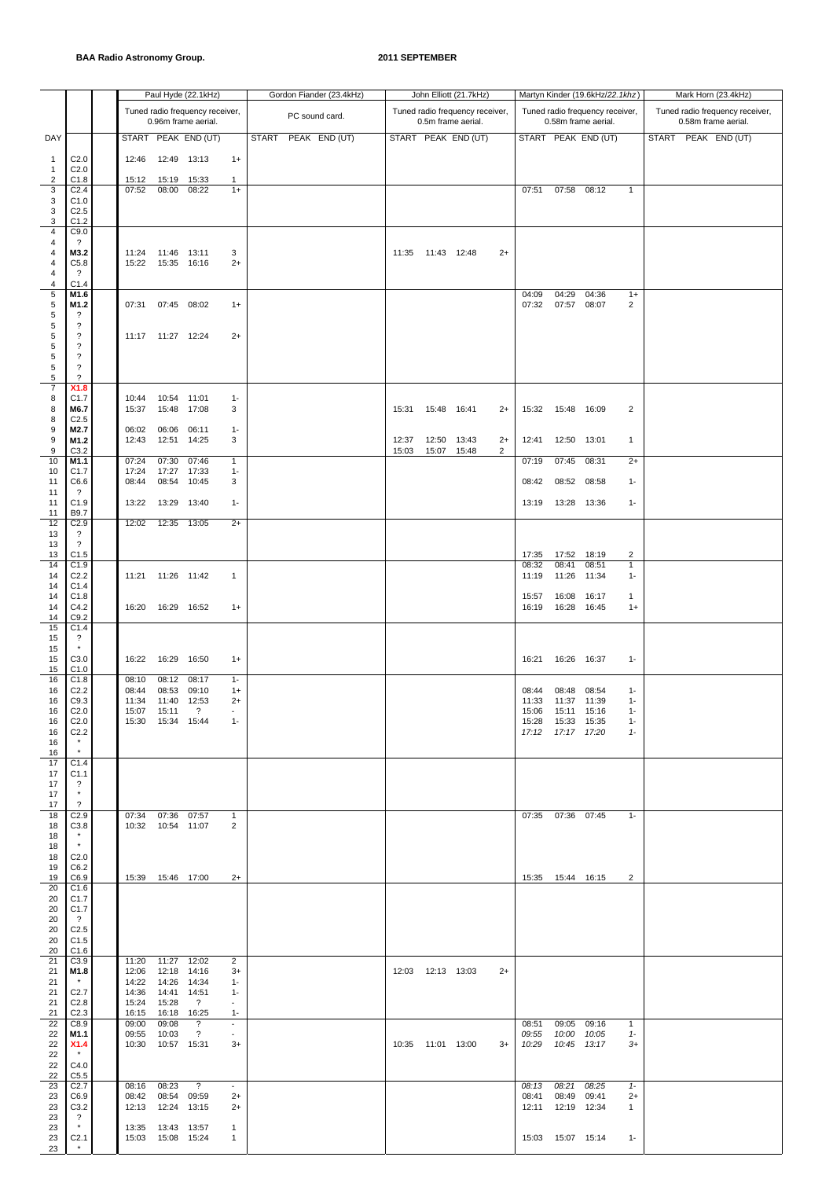|                              |                                                          |                         |                                            | Paul Hyde (22.1kHz)                                    |                                            |  | Gordon Fiander (23.4kHz) |       |                     | John Elliott (21.7kHz)                                |      |                |                                            | Martyn Kinder (19.6kHz/22.1khz)                        |                       |  | Mark Horn (23.4kHz)                                    |  |
|------------------------------|----------------------------------------------------------|-------------------------|--------------------------------------------|--------------------------------------------------------|--------------------------------------------|--|--------------------------|-------|---------------------|-------------------------------------------------------|------|----------------|--------------------------------------------|--------------------------------------------------------|-----------------------|--|--------------------------------------------------------|--|
|                              |                                                          |                         |                                            | Tuned radio frequency receiver,<br>0.96m frame aerial. |                                            |  | PC sound card.           |       |                     | Tuned radio frequency receiver,<br>0.5m frame aerial. |      |                |                                            | Tuned radio frequency receiver,<br>0.58m frame aerial. |                       |  | Tuned radio frequency receiver,<br>0.58m frame aerial. |  |
| DAY                          |                                                          |                         |                                            | START PEAK END (UT)                                    |                                            |  | START PEAK END (UT)      |       |                     | START PEAK END (UT)                                   |      |                |                                            | START PEAK END (UT)                                    |                       |  | START PEAK END (UT)                                    |  |
| $\mathbf{1}$<br>$\mathbf{1}$ | C <sub>2.0</sub><br>C <sub>2.0</sub>                     | 12:46                   | 12:49 13:13                                |                                                        | $1+$                                       |  |                          |       |                     |                                                       |      |                |                                            |                                                        |                       |  |                                                        |  |
| 2<br>3                       | C1.8<br>C <sub>2.4</sub>                                 | 15:12<br>07:52          | 15:19 15:33<br>08:00                       | 08:22                                                  | 1<br>$1+$                                  |  |                          |       |                     |                                                       |      | 07:51          | 07:58                                      | 08:12                                                  | $\overline{1}$        |  |                                                        |  |
| 3<br>3                       | C1.0<br>C <sub>2.5</sub>                                 |                         |                                            |                                                        |                                            |  |                          |       |                     |                                                       |      |                |                                            |                                                        |                       |  |                                                        |  |
| 3<br>4                       | C1.2<br>C9.0                                             |                         |                                            |                                                        |                                            |  |                          |       |                     |                                                       |      |                |                                            |                                                        |                       |  |                                                        |  |
| 4<br>4                       | ?<br>M3.2                                                | 11:24                   | 11:46 13:11                                |                                                        | 3                                          |  |                          | 11:35 |                     | 11:43 12:48                                           | $2+$ |                |                                            |                                                        |                       |  |                                                        |  |
| 4<br>4                       | C5.8<br>$\overline{\cdot}$                               | 15:22                   | 15:35 16:16                                |                                                        | $2+$                                       |  |                          |       |                     |                                                       |      |                |                                            |                                                        |                       |  |                                                        |  |
| 4<br>5                       | C1.4<br>M1.6                                             |                         |                                            |                                                        |                                            |  |                          |       |                     |                                                       |      | 04:09          | 04:29                                      | 04:36                                                  | $1+$                  |  |                                                        |  |
| 5<br>5                       | M1.2<br>?                                                |                         | 07:31 07:45 08:02                          |                                                        | $1+$                                       |  |                          |       |                     |                                                       |      | 07:32          | 07:57 08:07                                |                                                        | 2                     |  |                                                        |  |
| 5<br>5                       | $\boldsymbol{\mathcal{P}}$<br>$\overline{\phantom{a}}$   |                         | 11:17  11:27  12:24                        |                                                        | $2+$                                       |  |                          |       |                     |                                                       |      |                |                                            |                                                        |                       |  |                                                        |  |
| 5<br>5                       | $\overline{\phantom{a}}$<br>$\overline{\phantom{a}}$     |                         |                                            |                                                        |                                            |  |                          |       |                     |                                                       |      |                |                                            |                                                        |                       |  |                                                        |  |
| $\mathbf 5$<br>$\sqrt{5}$    | $\boldsymbol{\mathcal{P}}$<br>$\overline{\phantom{0}}$   |                         |                                            |                                                        |                                            |  |                          |       |                     |                                                       |      |                |                                            |                                                        |                       |  |                                                        |  |
| $\overline{7}$<br>8          | X1.8<br>C1.7                                             | 10:44                   | 10:54 11:01                                |                                                        | $1 -$                                      |  |                          |       |                     |                                                       |      |                |                                            |                                                        |                       |  |                                                        |  |
| 8<br>8                       | M6.7<br>C <sub>2.5</sub>                                 | 15:37                   | 15:48 17:08                                |                                                        | 3                                          |  |                          | 15:31 | 15:48               | 16:41                                                 | $2+$ | 15:32          | 15:48 16:09                                |                                                        | 2                     |  |                                                        |  |
| 9<br>9                       | M2.7<br>M1.2                                             | 06:02<br>12:43          | 06:06 06:11<br>12:51                       | 14:25                                                  | $1 -$<br>3                                 |  |                          | 12:37 | 12:50               | 13:43                                                 | $2+$ | 12:41          | 12:50 13:01                                |                                                        | $\overline{1}$        |  |                                                        |  |
| 9<br>10                      | C3.2<br>M1.1                                             | 07:24                   | 07:30                                      | 07:46                                                  | $\mathbf{1}$                               |  |                          | 15:03 | 15:07               | 15:48                                                 | 2    | 07:19          | 07:45                                      | 08:31                                                  | $2+$                  |  |                                                        |  |
| 10<br>11                     | C <sub>1.7</sub><br>C6.6                                 | 17:24<br>08:44          | 17:27<br>08:54 10:45                       | 17:33                                                  | $1 -$<br>3                                 |  |                          |       |                     |                                                       |      | 08:42          | 08:52                                      | 08:58                                                  | $1 -$                 |  |                                                        |  |
| 11<br>11                     | $\overline{\mathcal{E}}$<br>C1.9                         | 13:22                   | 13:29                                      | 13:40                                                  | $1 -$                                      |  |                          |       |                     |                                                       |      | 13:19          | 13:28 13:36                                |                                                        | $1 -$                 |  |                                                        |  |
| 11<br>12                     | B9.7<br>C2.9                                             | 12:02                   | 12:35 13:05                                |                                                        | $2+$                                       |  |                          |       |                     |                                                       |      |                |                                            |                                                        |                       |  |                                                        |  |
| 13<br>13<br>13               | ?<br>$\overline{\cdot}$<br>C1.5                          |                         |                                            |                                                        |                                            |  |                          |       |                     |                                                       |      | 17:35          | 17:52                                      | 18:19                                                  | 2                     |  |                                                        |  |
| 14<br>14                     | C1.9<br>C <sub>2.2</sub>                                 |                         | 11:21  11:26  11:42                        |                                                        | $\mathbf{1}$                               |  |                          |       |                     |                                                       |      | 08:32<br>11:19 | 08:41<br>11:26                             | 08:51<br>11:34                                         | $\mathbf{1}$<br>$1 -$ |  |                                                        |  |
| 14<br>14                     | C1.4<br>C1.8                                             |                         |                                            |                                                        |                                            |  |                          |       |                     |                                                       |      | 15:57          | 16:08                                      | 16:17                                                  | $\mathbf{1}$          |  |                                                        |  |
| 14<br>14                     | C4.2<br>C9.2                                             | 16:20                   | 16:29 16:52                                |                                                        | $1+$                                       |  |                          |       |                     |                                                       |      | 16:19          | 16:28 16:45                                |                                                        | $1+$                  |  |                                                        |  |
| 15<br>15                     | C1.4<br>?                                                |                         |                                            |                                                        |                                            |  |                          |       |                     |                                                       |      |                |                                            |                                                        |                       |  |                                                        |  |
| 15<br>15                     | $\star$<br>C3.0                                          | 16:22                   | 16:29 16:50                                |                                                        | $1+$                                       |  |                          |       |                     |                                                       |      |                | 16:21  16:26  16:37                        |                                                        | $1 -$                 |  |                                                        |  |
| 15<br>16                     | C1.0<br>C1.8                                             | 08:10                   | 08:12 08:17                                |                                                        | $1 -$                                      |  |                          |       |                     |                                                       |      |                |                                            |                                                        |                       |  |                                                        |  |
| 16<br>16                     | C <sub>2.2</sub><br>C9.3                                 | 08:44<br>11:34          | 08:53 09:10<br>11:40 12:53                 |                                                        | $1+$<br>$2+$                               |  |                          |       |                     |                                                       |      | 08:44<br>11:33 | 08:48<br>11:37 11:39                       | 08:54                                                  | $1 -$<br>$1 -$        |  |                                                        |  |
| 16<br>16                     | C <sub>2.0</sub><br>C <sub>2.0</sub>                     | 15:07  15:11            | 15:30  15:34  15:44                        | ?                                                      | $1 -$                                      |  |                          |       |                     |                                                       |      |                | 15:06  15:11  15:16<br>15:28  15:33  15:35 |                                                        | $1 -$<br>$1 -$        |  |                                                        |  |
| 16<br>16<br>16               | C <sub>2.2</sub><br>$\star$                              |                         |                                            |                                                        |                                            |  |                          |       |                     |                                                       |      |                | 17:12  17:17  17:20                        |                                                        | $1 -$                 |  |                                                        |  |
| 17<br>17                     | C1.4<br>C1.1                                             |                         |                                            |                                                        |                                            |  |                          |       |                     |                                                       |      |                |                                            |                                                        |                       |  |                                                        |  |
| 17<br>17                     | ?<br>$^\star$                                            |                         |                                            |                                                        |                                            |  |                          |       |                     |                                                       |      |                |                                            |                                                        |                       |  |                                                        |  |
| 17<br>18                     | $\overline{\phantom{a}}$<br>C <sub>2.9</sub>             | 07:34                   | 07:36 07:57                                |                                                        | 1                                          |  |                          |       |                     |                                                       |      | 07:35          | 07:36 07:45                                |                                                        | $1 -$                 |  |                                                        |  |
| 18<br>18                     | C3.8<br>$\star$                                          | 10:32                   | 10:54 11:07                                |                                                        | 2                                          |  |                          |       |                     |                                                       |      |                |                                            |                                                        |                       |  |                                                        |  |
| 18<br>18                     | $\star$<br>C <sub>2.0</sub>                              |                         |                                            |                                                        |                                            |  |                          |       |                     |                                                       |      |                |                                            |                                                        |                       |  |                                                        |  |
| 19<br>19                     | C6.2<br>C6.9                                             |                         | 15:39  15:46  17:00                        |                                                        | $2+$                                       |  |                          |       |                     |                                                       |      |                | 15:35  15:44  16:15                        |                                                        | 2                     |  |                                                        |  |
| 20<br>20                     | C1.6<br>C1.7                                             |                         |                                            |                                                        |                                            |  |                          |       |                     |                                                       |      |                |                                            |                                                        |                       |  |                                                        |  |
| 20<br>20                     | C1.7<br>$\ddot{\phantom{0}}$                             |                         |                                            |                                                        |                                            |  |                          |       |                     |                                                       |      |                |                                            |                                                        |                       |  |                                                        |  |
| 20<br>20                     | C <sub>2.5</sub><br>C1.5                                 |                         |                                            |                                                        |                                            |  |                          |       |                     |                                                       |      |                |                                            |                                                        |                       |  |                                                        |  |
| 20<br>21                     | C1.6<br>C3.9                                             | 11:20                   | 11:27 12:02                                |                                                        | $\overline{2}$                             |  |                          |       |                     |                                                       |      |                |                                            |                                                        |                       |  |                                                        |  |
| 21<br>21<br>21               | M1.8<br>$^\star$                                         | 12:06<br>14:22          | 12:18 14:16<br>14:26 14:34                 |                                                        | $3+$<br>$1 -$                              |  |                          |       | 12:03  12:13  13:03 |                                                       | $2+$ |                |                                            |                                                        |                       |  |                                                        |  |
| 21<br>21                     | C <sub>2.7</sub><br>C <sub>2.8</sub><br>C <sub>2.3</sub> | 14:36<br>15:24<br>16:15 | 14:41 14:51<br>15:28<br>16:18              | $\overline{?}$<br>16:25                                | $1 -$<br>$\overline{\phantom{a}}$<br>$1 -$ |  |                          |       |                     |                                                       |      |                |                                            |                                                        |                       |  |                                                        |  |
| 22<br>22                     | C8.9<br>M1.1                                             | 09:00<br>09:55          | 09:08<br>10:03                             | $\overline{?}$<br>$\gamma$                             | $\overline{\phantom{a}}$                   |  |                          |       |                     |                                                       |      | 08:51<br>09:55 | 09:05<br>10:00                             | 09:16<br>10:05                                         | $\mathbf{1}$<br>$1 -$ |  |                                                        |  |
| 22<br>22                     | <b>X1.4</b><br>$\star$                                   | 10:30                   | 10:57 15:31                                |                                                        | $3+$                                       |  |                          |       | 10:35  11:01  13:00 |                                                       | $3+$ | 10:29          | 10:45 13:17                                |                                                        | $3+$                  |  |                                                        |  |
| 22<br>22                     | C4.0<br>C5.5                                             |                         |                                            |                                                        |                                            |  |                          |       |                     |                                                       |      |                |                                            |                                                        |                       |  |                                                        |  |
| 23<br>23                     | C <sub>2.7</sub><br>C6.9                                 | 08:16<br>08:42          | 08:23<br>08:54 09:59                       | $\overline{\mathcal{E}}$                               | $2+$                                       |  |                          |       |                     |                                                       |      | 08:13<br>08:41 | 08:21<br>08:49                             | 08:25<br>09:41                                         | $1 -$<br>$2+$         |  |                                                        |  |
| 23<br>23                     | C3.2<br>$\overline{\cdot}$                               | 12:13                   | 12:24                                      | 13:15                                                  | $2+$                                       |  |                          |       |                     |                                                       |      | 12:11          | 12:19 12:34                                |                                                        | 1                     |  |                                                        |  |
| 23<br>23                     | $\star$<br>C <sub>2.1</sub>                              |                         | 13:35  13:43  13:57<br>15:03  15:08  15:24 |                                                        | $\mathbf{1}$<br>$\mathbf{1}$               |  |                          |       |                     |                                                       |      |                | 15:03  15:07  15:14                        |                                                        | $1 -$                 |  |                                                        |  |
| 23                           | $\star$                                                  |                         |                                            |                                                        |                                            |  |                          |       |                     |                                                       |      |                |                                            |                                                        |                       |  |                                                        |  |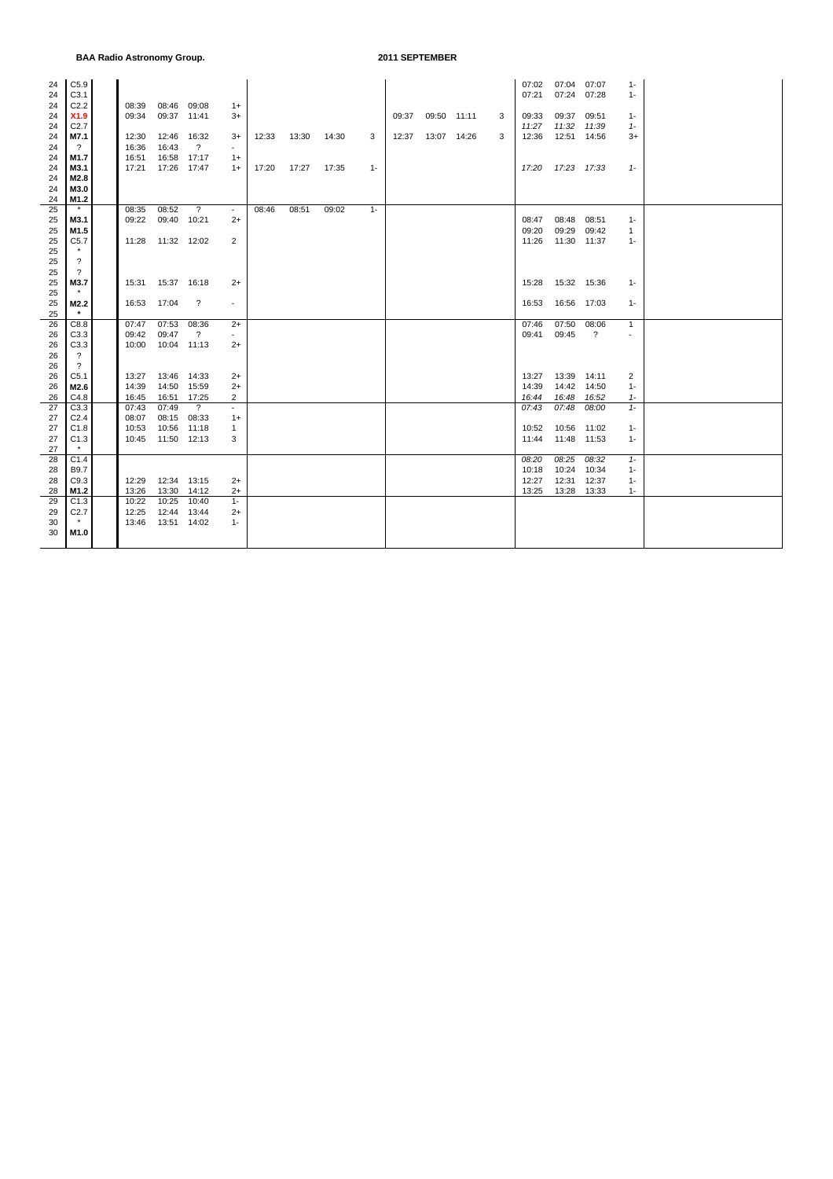| 24       | C5.9                     |       |                     |                      |                |       |       |       |       |       |             |   | 07:02 | 07:04                | 07:07          | $1 -$        |  |
|----------|--------------------------|-------|---------------------|----------------------|----------------|-------|-------|-------|-------|-------|-------------|---|-------|----------------------|----------------|--------------|--|
| 24       | C3.1                     |       |                     |                      |                |       |       |       |       |       |             |   | 07:21 | 07:24                | 07:28          | $1 -$        |  |
| 24       | C2.2                     | 08:39 |                     | 08:46 09:08          | $1+$           |       |       |       |       |       |             |   |       |                      |                |              |  |
| 24       | X1.9<br>C <sub>2.7</sub> | 09:34 |                     | 09:37 11:41          | 3+             |       |       |       |       | 09:37 | 09:50 11:11 | 3 | 09:33 | 09:37<br>11:32 11:39 | 09:51          | $1 -$        |  |
| 24       |                          |       |                     |                      |                |       |       |       |       |       |             |   | 11:27 |                      |                | $1 -$        |  |
| 24       | M7.1                     | 12:30 | 12:46 16:32         |                      | $3+$           | 12:33 | 13:30 | 14:30 | 3     | 12:37 | 13:07 14:26 | 3 | 12:36 | 12:51 14:56          |                | 3+           |  |
| 24       | $\overline{\mathcal{E}}$ | 16:36 | 16:43               | $\overline{?}$       |                |       |       |       |       |       |             |   |       |                      |                |              |  |
| 24       | M1.7                     | 16:51 |                     | 16:58 17:17          | $1+$           |       |       |       |       |       |             |   |       |                      |                |              |  |
| 24       | M3.1                     | 17:21 | 17:26 17:47         |                      | $1+$           | 17:20 | 17:27 | 17:35 | $1 -$ |       |             |   |       | 17:20  17:23  17:33  |                | $1 -$        |  |
| 24       | M2.8                     |       |                     |                      |                |       |       |       |       |       |             |   |       |                      |                |              |  |
| 24<br>24 | M3.0<br>M1.2             |       |                     |                      |                |       |       |       |       |       |             |   |       |                      |                |              |  |
| 25       | $\star$                  | 08:35 | 08:52               | $\overline{?}$       | $\sim$         | 08:46 | 08:51 | 09:02 | $1 -$ |       |             |   |       |                      |                |              |  |
| 25       | M3.1                     | 09:22 | 09:40 10:21         |                      | $2+$           |       |       |       |       |       |             |   | 08:47 | 08:48                | 08:51          | $1 -$        |  |
| 25       | M1.5                     |       |                     |                      |                |       |       |       |       |       |             |   | 09:20 | 09:29                | 09:42          | $\mathbf{1}$ |  |
| 25       | C5.7                     |       | 11:28  11:32  12:02 |                      | 2              |       |       |       |       |       |             |   | 11:26 | 11:30 11:37          |                | $1 -$        |  |
| 25       | $\star$                  |       |                     |                      |                |       |       |       |       |       |             |   |       |                      |                |              |  |
| 25       | $\overline{\mathcal{E}}$ |       |                     |                      |                |       |       |       |       |       |             |   |       |                      |                |              |  |
| 25       | $\overline{\mathcal{L}}$ |       |                     |                      |                |       |       |       |       |       |             |   |       |                      |                |              |  |
| 25       | M3.7                     | 15:31 | 15:37 16:18         |                      | $2+$           |       |       |       |       |       |             |   | 15:28 | 15:32 15:36          |                | $1 -$        |  |
| 25       | $\star$                  |       |                     |                      |                |       |       |       |       |       |             |   |       |                      |                |              |  |
| 25       | M2.2                     | 16:53 | 17:04               | $\ddot{\phantom{0}}$ | $\sim$         |       |       |       |       |       |             |   | 16:53 | 16:56 17:03          |                | $1 -$        |  |
| 25       | $*$                      |       |                     |                      |                |       |       |       |       |       |             |   |       |                      |                |              |  |
| 26       | C8.8                     | 07:47 |                     | 07:53 08:36          | $2+$           |       |       |       |       |       |             |   | 07:46 | 07:50                | 08:06          | $\mathbf{1}$ |  |
| 26       | C3.3                     | 09:42 | 09:47               | $\overline{?}$       | $\sim$         |       |       |       |       |       |             |   | 09:41 | 09:45                | $\overline{?}$ |              |  |
| 26       | C3.3                     | 10:00 | 10:04 11:13         |                      | $2+$           |       |       |       |       |       |             |   |       |                      |                |              |  |
| 26       | $\overline{\mathcal{L}}$ |       |                     |                      |                |       |       |       |       |       |             |   |       |                      |                |              |  |
| 26       | $\overline{\mathcal{L}}$ |       |                     |                      |                |       |       |       |       |       |             |   |       |                      |                |              |  |
| 26       | C5.1                     | 13:27 | 13:46 14:33         |                      | $2+$           |       |       |       |       |       |             |   | 13:27 | 13:39 14:11          |                | 2            |  |
| 26       | M2.6                     | 14:39 | 14:50 15:59         |                      | $2+$           |       |       |       |       |       |             |   | 14:39 | 14:42                | 14:50          | $1 -$        |  |
| 26       | C4.8                     | 16:45 | 16:51 17:25         |                      | $\overline{2}$ |       |       |       |       |       |             |   | 16:44 | 16:48                | 16:52          | $1 -$        |  |
| 27       | C3.3                     | 07:43 | 07:49               | $\overline{?}$       | $\blacksquare$ |       |       |       |       |       |             |   | 07:43 | 07:48                | 08:00          | $1 -$        |  |
| 27       | C <sub>2.4</sub>         | 08:07 |                     | 08:15 08:33          | $1+$           |       |       |       |       |       |             |   |       |                      |                |              |  |
| 27       | C1.8                     | 10:53 |                     | 10:56 11:18          | 1              |       |       |       |       |       |             |   | 10:52 | 10:56 11:02          |                | $1 -$        |  |
| 27       | C1.3                     | 10:45 | 11:50 12:13         |                      | 3              |       |       |       |       |       |             |   | 11:44 | 11:48 11:53          |                | $1 -$        |  |
| 27       | $\star$                  |       |                     |                      |                |       |       |       |       |       |             |   |       |                      |                |              |  |
| 28       | C1.4                     |       |                     |                      |                |       |       |       |       |       |             |   | 08:20 | 08:25                | 08:32          | $1 -$        |  |
| 28       | B9.7                     |       |                     |                      |                |       |       |       |       |       |             |   | 10:18 | 10:24                | 10:34          | $1 -$        |  |
| 28       | C9.3                     | 12:29 | 12:34 13:15         |                      | $2+$           |       |       |       |       |       |             |   | 12:27 | 12:31                | 12:37          | $1 -$        |  |
| 28       | M1.2                     | 13:26 |                     | 13:30 14:12          | $2+$           |       |       |       |       |       |             |   | 13:25 | 13:28 13:33          |                | $1 -$        |  |
| 29       | C1.3                     | 10:22 | 10:25               | 10:40                | $1 -$          |       |       |       |       |       |             |   |       |                      |                |              |  |
| 29       | C <sub>2.7</sub>         | 12:25 |                     | 12:44 13:44          | $2+$           |       |       |       |       |       |             |   |       |                      |                |              |  |
| 30       | $\star$                  | 13:46 | 13:51 14:02         |                      | $1 -$          |       |       |       |       |       |             |   |       |                      |                |              |  |
| 30       | M1.0                     |       |                     |                      |                |       |       |       |       |       |             |   |       |                      |                |              |  |
|          |                          |       |                     |                      |                |       |       |       |       |       |             |   |       |                      |                |              |  |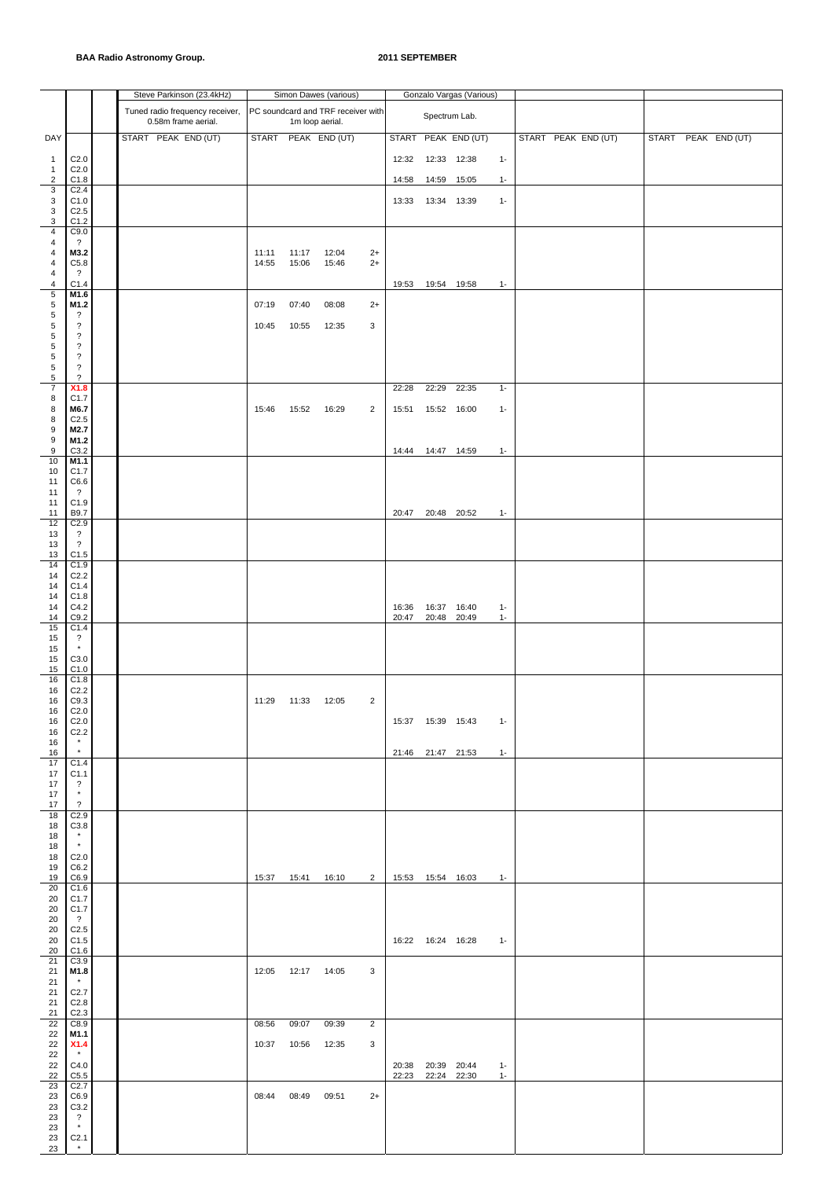|                     |                                                      |  | Steve Parkinson (23.4kHz)                              |              |                     | Simon Dawes (various)                                 |                |                   |                     | Gonzalo Vargas (Various) |       |                     |       |               |
|---------------------|------------------------------------------------------|--|--------------------------------------------------------|--------------|---------------------|-------------------------------------------------------|----------------|-------------------|---------------------|--------------------------|-------|---------------------|-------|---------------|
|                     |                                                      |  | Tuned radio frequency receiver,<br>0.58m frame aerial. |              |                     | PC soundcard and TRF receiver with<br>1m loop aerial. |                |                   |                     | Spectrum Lab.            |       |                     |       |               |
| DAY                 |                                                      |  | START PEAK END (UT)                                    | <b>START</b> |                     | PEAK END (UT)                                         |                | <b>START</b>      |                     | PEAK END (UT)            |       | START PEAK END (UT) | START | PEAK END (UT) |
| $\mathbf{1}$        | C <sub>2.0</sub>                                     |  |                                                        |              |                     |                                                       |                | 12:32             | 12:33 12:38         |                          | $1 -$ |                     |       |               |
| $\mathbf{1}$<br>2   | C <sub>2.0</sub><br>C1.8                             |  |                                                        |              |                     |                                                       |                | 14:58             |                     | 14:59 15:05              | $1 -$ |                     |       |               |
| 3<br>3              | C <sub>2.4</sub><br>C1.0                             |  |                                                        |              |                     |                                                       |                | 13:33             | 13:34 13:39         |                          | $1 -$ |                     |       |               |
| 3<br>3              | C <sub>2.5</sub><br>C1.2                             |  |                                                        |              |                     |                                                       |                |                   |                     |                          |       |                     |       |               |
| $\overline{4}$      | C9.0                                                 |  |                                                        |              |                     |                                                       |                |                   |                     |                          |       |                     |       |               |
| 4<br>4              | $\overline{\cdot}$<br>M3.2                           |  |                                                        | 11:11        | 11:17               | 12:04                                                 | $2+$           |                   |                     |                          |       |                     |       |               |
| 4<br>4              | C5.8<br>$\overline{\cdot}$                           |  |                                                        | 14:55        | 15:06               | 15:46                                                 | $2+$           |                   |                     |                          |       |                     |       |               |
| 4<br>$\sqrt{5}$     | C1.4<br>M1.6                                         |  |                                                        |              |                     |                                                       |                |                   | 19:53  19:54  19:58 |                          | $1 -$ |                     |       |               |
| 5<br>5              | M1.2<br>?                                            |  |                                                        | 07:19        | 07:40               | 08:08                                                 | $2+$           |                   |                     |                          |       |                     |       |               |
| $\sqrt{5}$          | $\overline{\mathcal{E}}$                             |  |                                                        | 10:45        | 10:55               | 12:35                                                 | 3              |                   |                     |                          |       |                     |       |               |
| $\sqrt{5}$<br>5     | $\overline{\mathcal{E}}$<br>$\overline{\mathcal{E}}$ |  |                                                        |              |                     |                                                       |                |                   |                     |                          |       |                     |       |               |
| $\sqrt{5}$<br>5     | $\overline{\mathcal{E}}$<br>$\overline{\cdot}$       |  |                                                        |              |                     |                                                       |                |                   |                     |                          |       |                     |       |               |
| 5<br>$\overline{7}$ | $\overline{\cdot}$<br>X1.8                           |  |                                                        |              |                     |                                                       |                | 22:28             | 22:29               | 22:35                    | $1 -$ |                     |       |               |
| 8                   | C1.7                                                 |  |                                                        |              |                     |                                                       |                |                   |                     |                          |       |                     |       |               |
| 8<br>8              | M6.7<br>C <sub>2.5</sub>                             |  |                                                        | 15:46        | 15:52               | 16:29                                                 | $\overline{2}$ | 15:51             | 15:52 16:00         |                          | $1 -$ |                     |       |               |
| 9<br>9              | M2.7<br>M1.2                                         |  |                                                        |              |                     |                                                       |                |                   |                     |                          |       |                     |       |               |
| 9<br>10             | C3.2<br>M1.1                                         |  |                                                        |              |                     |                                                       |                | 14:44             |                     | 14:47 14:59              | $1 -$ |                     |       |               |
| 10<br>11            | C1.7<br>C6.6                                         |  |                                                        |              |                     |                                                       |                |                   |                     |                          |       |                     |       |               |
| 11                  | $\cdot$<br>C1.9                                      |  |                                                        |              |                     |                                                       |                |                   |                     |                          |       |                     |       |               |
| 11<br>11            | B9.7                                                 |  |                                                        |              |                     |                                                       |                | 20:47             |                     | 20:48 20:52              | $1 -$ |                     |       |               |
| 12<br>13            | C2.9<br>$\overline{\cdot}$                           |  |                                                        |              |                     |                                                       |                |                   |                     |                          |       |                     |       |               |
| 13<br>13            | $\overline{\cdot}$<br>C1.5                           |  |                                                        |              |                     |                                                       |                |                   |                     |                          |       |                     |       |               |
| 14<br>14            | C1.9<br>C <sub>2.2</sub>                             |  |                                                        |              |                     |                                                       |                |                   |                     |                          |       |                     |       |               |
| 14<br>14            | C1.4<br>C1.8                                         |  |                                                        |              |                     |                                                       |                |                   |                     |                          |       |                     |       |               |
| 14                  | C4.2                                                 |  |                                                        |              |                     |                                                       |                | 16:36             | 16:37               | 16:40                    | $1 -$ |                     |       |               |
| 14<br>15            | C9.2<br>C1.4                                         |  |                                                        |              |                     |                                                       |                | 20:47             |                     | 20:48 20:49              | $1 -$ |                     |       |               |
| 15<br>15            | $\overline{\cdot}$<br>$\star$                        |  |                                                        |              |                     |                                                       |                |                   |                     |                          |       |                     |       |               |
| 15<br>15            | C3.0<br>C1.0                                         |  |                                                        |              |                     |                                                       |                |                   |                     |                          |       |                     |       |               |
| 16<br>16            | C1.8<br>C <sub>2.2</sub>                             |  |                                                        |              |                     |                                                       |                |                   |                     |                          |       |                     |       |               |
| 16<br>16            | C9.3<br>C <sub>2.0</sub>                             |  |                                                        | 11:29        | 11:33               | 12:05                                                 | $\overline{c}$ |                   |                     |                          |       |                     |       |               |
| 16                  | C2.0                                                 |  |                                                        |              |                     |                                                       |                |                   | 15:37  15:39  15:43 |                          | $1 -$ |                     |       |               |
| 16<br>16            | C <sub>2.2</sub><br>$\star$                          |  |                                                        |              |                     |                                                       |                |                   |                     |                          |       |                     |       |               |
| 16<br>17            | $\star$<br>C1.4                                      |  |                                                        |              |                     |                                                       |                | 21:46 21:47 21:53 |                     |                          | $1 -$ |                     |       |               |
| 17<br>17            | C1.1<br>$\overline{\cdot}$                           |  |                                                        |              |                     |                                                       |                |                   |                     |                          |       |                     |       |               |
| 17<br>17            | $^\star$<br>$\overline{?}$                           |  |                                                        |              |                     |                                                       |                |                   |                     |                          |       |                     |       |               |
| 18                  | C2.9                                                 |  |                                                        |              |                     |                                                       |                |                   |                     |                          |       |                     |       |               |
| 18<br>18            | C3.8<br>$\star$<br>$\star$                           |  |                                                        |              |                     |                                                       |                |                   |                     |                          |       |                     |       |               |
| 18<br>18            | C <sub>2.0</sub>                                     |  |                                                        |              |                     |                                                       |                |                   |                     |                          |       |                     |       |               |
| 19<br>19            | C6.2<br>C6.9                                         |  |                                                        |              |                     | 15:37  15:41  16:10                                   | $\overline{2}$ |                   | 15:53  15:54  16:03 |                          | $1 -$ |                     |       |               |
| 20<br>20            | C1.6<br>C <sub>1.7</sub>                             |  |                                                        |              |                     |                                                       |                |                   |                     |                          |       |                     |       |               |
| 20<br>20            | C <sub>1.7</sub><br>$\overline{\mathcal{L}}$         |  |                                                        |              |                     |                                                       |                |                   |                     |                          |       |                     |       |               |
| 20                  | C <sub>2.5</sub>                                     |  |                                                        |              |                     |                                                       |                |                   |                     |                          |       |                     |       |               |
| 20<br>20            | C1.5<br>C1.6                                         |  |                                                        |              |                     |                                                       |                |                   | 16:22  16:24  16:28 |                          | $1 -$ |                     |       |               |
| 21<br>21            | C3.9<br>M1.8                                         |  |                                                        |              | 12:05  12:17  14:05 |                                                       | 3              |                   |                     |                          |       |                     |       |               |
| 21<br>21            | $\star$<br>C <sub>2.7</sub>                          |  |                                                        |              |                     |                                                       |                |                   |                     |                          |       |                     |       |               |
| 21<br>21            | C <sub>2.8</sub><br>C2.3                             |  |                                                        |              |                     |                                                       |                |                   |                     |                          |       |                     |       |               |
| 22                  | C8.9                                                 |  |                                                        | 08:56        | 09:07               | 09:39                                                 | $\overline{2}$ |                   |                     |                          |       |                     |       |               |
| 22<br>22            | M1.1<br>X1.4                                         |  |                                                        | 10:37        | 10:56               | 12:35                                                 | 3              |                   |                     |                          |       |                     |       |               |
| 22<br>22            | $\star$<br>C4.0                                      |  |                                                        |              |                     |                                                       |                |                   | 20:38 20:39 20:44   |                          | $1 -$ |                     |       |               |
| 22<br>23            | $\text{C5.5}$<br>C2.7                                |  |                                                        |              |                     |                                                       |                | 22:23             |                     | 22:24 22:30              | $1 -$ |                     |       |               |
| 23<br>23            | C6.9<br>C3.2                                         |  |                                                        | 08:44        | 08:49               | 09:51                                                 | $2+$           |                   |                     |                          |       |                     |       |               |
| 23<br>23            | $\overline{\cdot}$<br>$\star$                        |  |                                                        |              |                     |                                                       |                |                   |                     |                          |       |                     |       |               |
| 23                  | C <sub>2.1</sub><br>$^\star$                         |  |                                                        |              |                     |                                                       |                |                   |                     |                          |       |                     |       |               |
| 23                  |                                                      |  |                                                        |              |                     |                                                       |                |                   |                     |                          |       |                     |       |               |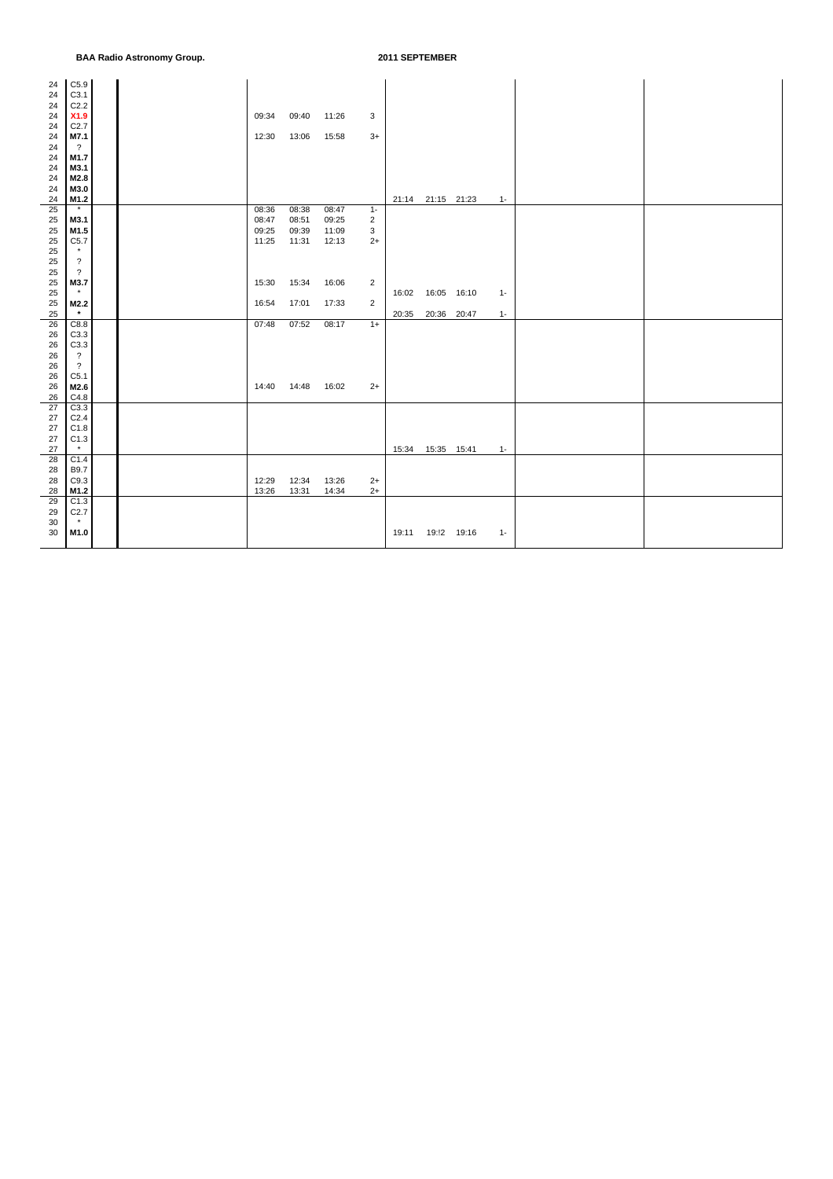| 24 | C5.9                     |  |       |       |       |                  |       |                   |       |  |
|----|--------------------------|--|-------|-------|-------|------------------|-------|-------------------|-------|--|
| 24 | C3.1                     |  |       |       |       |                  |       |                   |       |  |
| 24 | C2.2                     |  |       |       |       |                  |       |                   |       |  |
| 24 | X1.9                     |  | 09:34 | 09:40 | 11:26 | 3                |       |                   |       |  |
|    |                          |  |       |       |       |                  |       |                   |       |  |
| 24 | C2.7                     |  |       |       |       |                  |       |                   |       |  |
| 24 | M7.1                     |  | 12:30 | 13:06 | 15:58 | $3+$             |       |                   |       |  |
| 24 | $\overline{?}$           |  |       |       |       |                  |       |                   |       |  |
| 24 | M1.7                     |  |       |       |       |                  |       |                   |       |  |
| 24 | M3.1                     |  |       |       |       |                  |       |                   |       |  |
|    |                          |  |       |       |       |                  |       |                   |       |  |
| 24 | M2.8                     |  |       |       |       |                  |       |                   |       |  |
| 24 | M3.0                     |  |       |       |       |                  |       |                   |       |  |
| 24 | M1.2                     |  |       |       |       |                  |       | 21:14 21:15 21:23 | $1 -$ |  |
| 25 | $\pmb{\star}$            |  | 08:36 | 08:38 | 08:47 | $1 -$            |       |                   |       |  |
| 25 | M3.1                     |  | 08:47 | 08:51 | 09:25 | $\boldsymbol{2}$ |       |                   |       |  |
|    |                          |  |       |       |       |                  |       |                   |       |  |
| 25 | M1.5                     |  | 09:25 | 09:39 | 11:09 | 3                |       |                   |       |  |
| 25 | C5.7                     |  | 11:25 | 11:31 | 12:13 | $2+$             |       |                   |       |  |
| 25 | $\star$                  |  |       |       |       |                  |       |                   |       |  |
| 25 | $\overline{\mathcal{E}}$ |  |       |       |       |                  |       |                   |       |  |
| 25 | $\overline{?}$           |  |       |       |       |                  |       |                   |       |  |
|    |                          |  |       | 15:34 |       |                  |       |                   |       |  |
| 25 | M3.7                     |  | 15:30 |       | 16:06 | $\overline{2}$   |       |                   |       |  |
| 25 | $\star$                  |  |       |       |       |                  | 16:02 | 16:05 16:10       | $1 -$ |  |
| 25 | M2.2                     |  | 16:54 | 17:01 | 17:33 | $\overline{2}$   |       |                   |       |  |
| 25 | $\star$                  |  |       |       |       |                  | 20:35 | 20:36 20:47       | $1 -$ |  |
| 26 | C8.8                     |  | 07:48 | 07:52 | 08:17 | $1+$             |       |                   |       |  |
| 26 | C3.3                     |  |       |       |       |                  |       |                   |       |  |
|    |                          |  |       |       |       |                  |       |                   |       |  |
| 26 | C3.3                     |  |       |       |       |                  |       |                   |       |  |
| 26 | $\overline{\mathcal{L}}$ |  |       |       |       |                  |       |                   |       |  |
| 26 | $\ddot{\phantom{0}}$     |  |       |       |       |                  |       |                   |       |  |
| 26 | C5.1                     |  |       |       |       |                  |       |                   |       |  |
| 26 | M2.6                     |  | 14:40 | 14:48 | 16:02 | $2+$             |       |                   |       |  |
|    |                          |  |       |       |       |                  |       |                   |       |  |
| 26 | C4.8                     |  |       |       |       |                  |       |                   |       |  |
| 27 | C3.3                     |  |       |       |       |                  |       |                   |       |  |
| 27 | C <sub>2.4</sub>         |  |       |       |       |                  |       |                   |       |  |
| 27 | C1.8                     |  |       |       |       |                  |       |                   |       |  |
| 27 | C1.3                     |  |       |       |       |                  |       |                   |       |  |
| 27 | $\star$                  |  |       |       |       |                  | 15:34 | 15:35  15:41      | $1 -$ |  |
|    |                          |  |       |       |       |                  |       |                   |       |  |
| 28 | C1.4                     |  |       |       |       |                  |       |                   |       |  |
| 28 | <b>B9.7</b>              |  |       |       |       |                  |       |                   |       |  |
| 28 | C9.3                     |  | 12:29 | 12:34 | 13:26 | $2+$             |       |                   |       |  |
| 28 | M1.2                     |  | 13:26 | 13:31 | 14:34 | $2+$             |       |                   |       |  |
| 29 | C1.3                     |  |       |       |       |                  |       |                   |       |  |
| 29 | C2.7                     |  |       |       |       |                  |       |                   |       |  |
|    | $\star$                  |  |       |       |       |                  |       |                   |       |  |
| 30 |                          |  |       |       |       |                  |       |                   |       |  |
| 30 | M1.0                     |  |       |       |       |                  | 19:11 | 19:!2 19:16       | $1 -$ |  |
|    |                          |  |       |       |       |                  |       |                   |       |  |
|    |                          |  |       |       |       |                  |       |                   |       |  |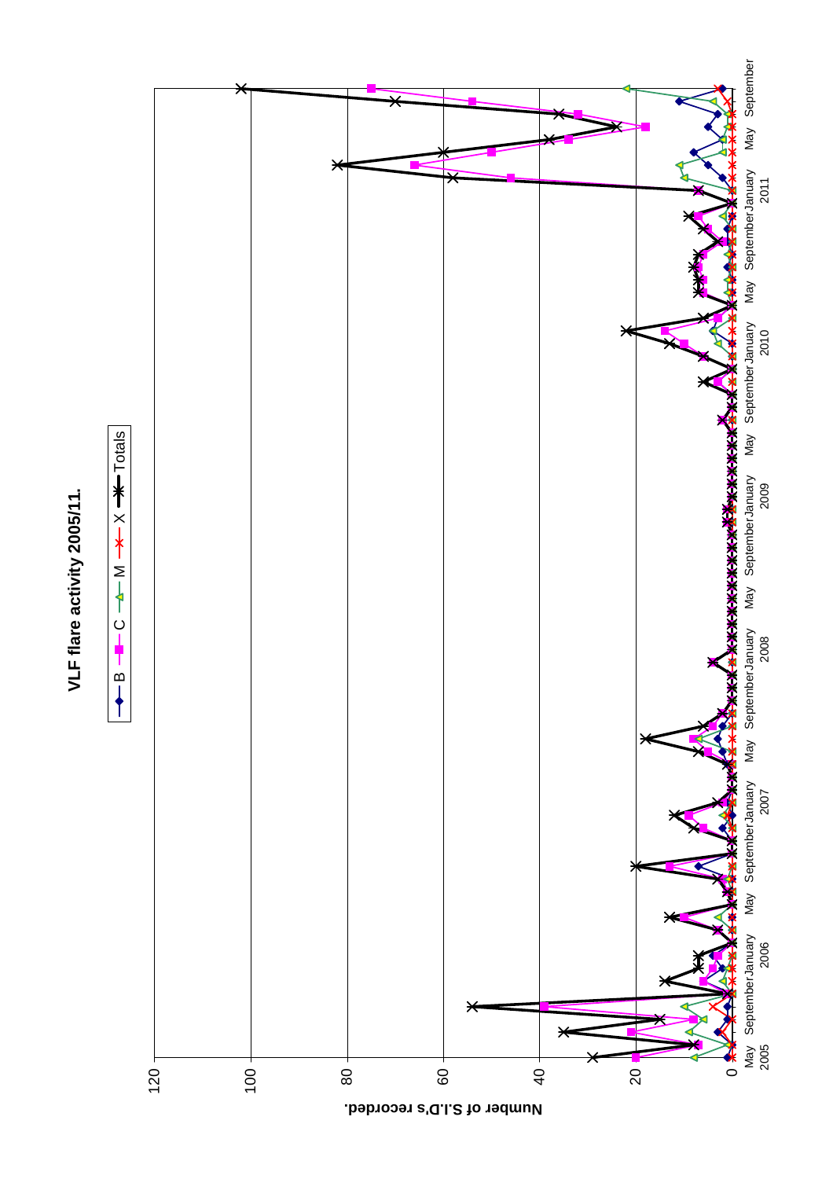

e<br>P

 $+$  Totals

 $\overline{\mathbf{X}+\mathbf{X}}$ 

 $M -$ 

 $\dot{\Omega}$ ł



**Number of S.I.D's recorded.**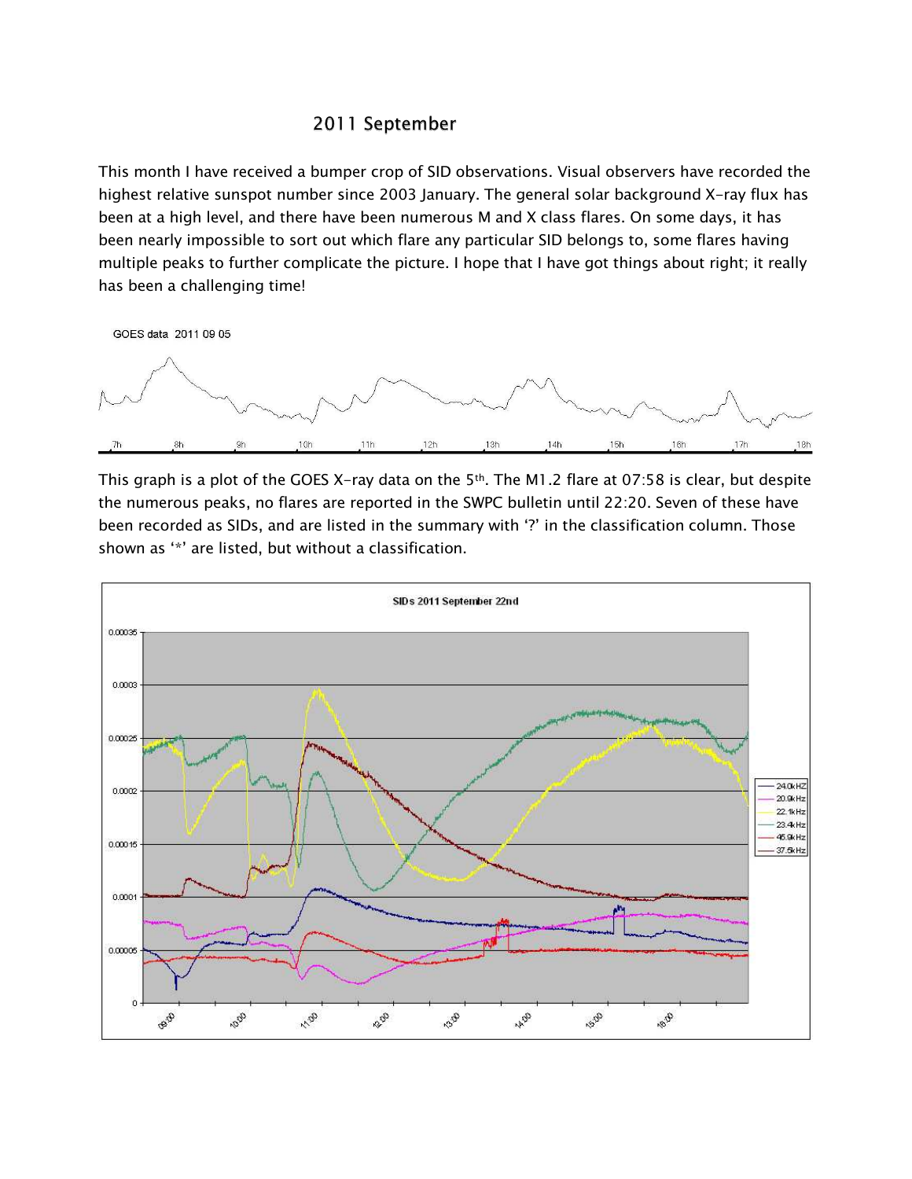## 2011 September

This month I have received a bumper crop of SID observations. Visual observers have recorded the highest relative sunspot number since 2003 January. The general solar background X-ray flux has been at a high level, and there have been numerous M and X class flares. On some days, it has been nearly impossible to sort out which flare any particular SID belongs to, some flares having multiple peaks to further complicate the picture. I hope that I have got things about right; it really has been a challenging time!



This graph is a plot of the GOES X-ray data on the 5<sup>th</sup>. The M1.2 flare at 07:58 is clear, but despite the numerous peaks, no flares are reported in the SWPC bulletin until 22:20. Seven of these have been recorded as SIDs, and are listed in the summary with '?' in the classification column. Those shown as '\*' are listed, but without a classification.

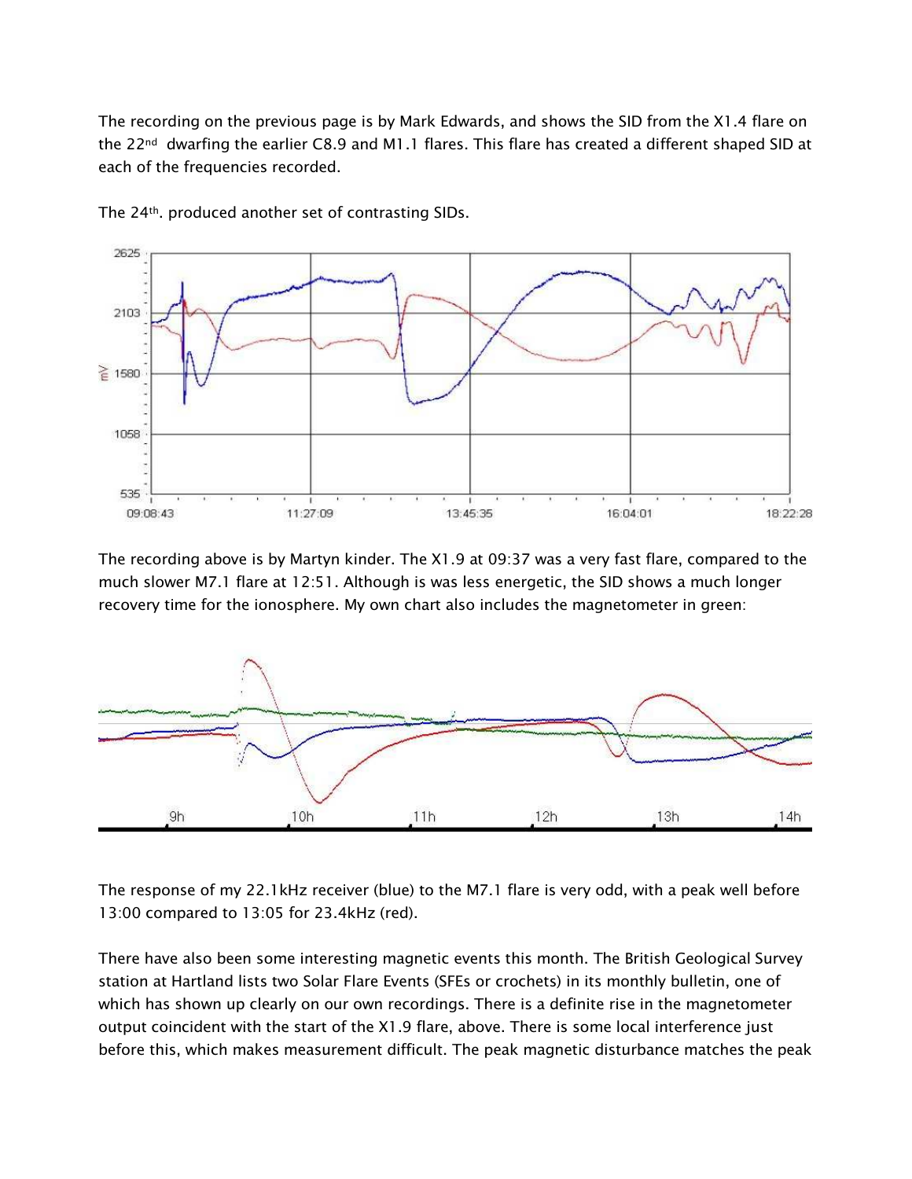The recording on the previous page is by Mark Edwards, and shows the SID from the X1.4 flare on the 22nd dwarfing the earlier C8.9 and M1.1 flares. This flare has created a different shaped SID at each of the frequencies recorded.



The 24th. produced another set of contrasting SIDs.

The recording above is by Martyn kinder. The X1.9 at 09:37 was a very fast flare, compared to the much slower M7.1 flare at 12:51. Although is was less energetic, the SID shows a much longer recovery time for the ionosphere. My own chart also includes the magnetometer in green:



The response of my 22.1kHz receiver (blue) to the M7.1 flare is very odd, with a peak well before 13:00 compared to 13:05 for 23.4kHz (red).

There have also been some interesting magnetic events this month. The British Geological Survey station at Hartland lists two Solar Flare Events (SFEs or crochets) in its monthly bulletin, one of which has shown up clearly on our own recordings. There is a definite rise in the magnetometer output coincident with the start of the X1.9 flare, above. There is some local interference just before this, which makes measurement difficult. The peak magnetic disturbance matches the peak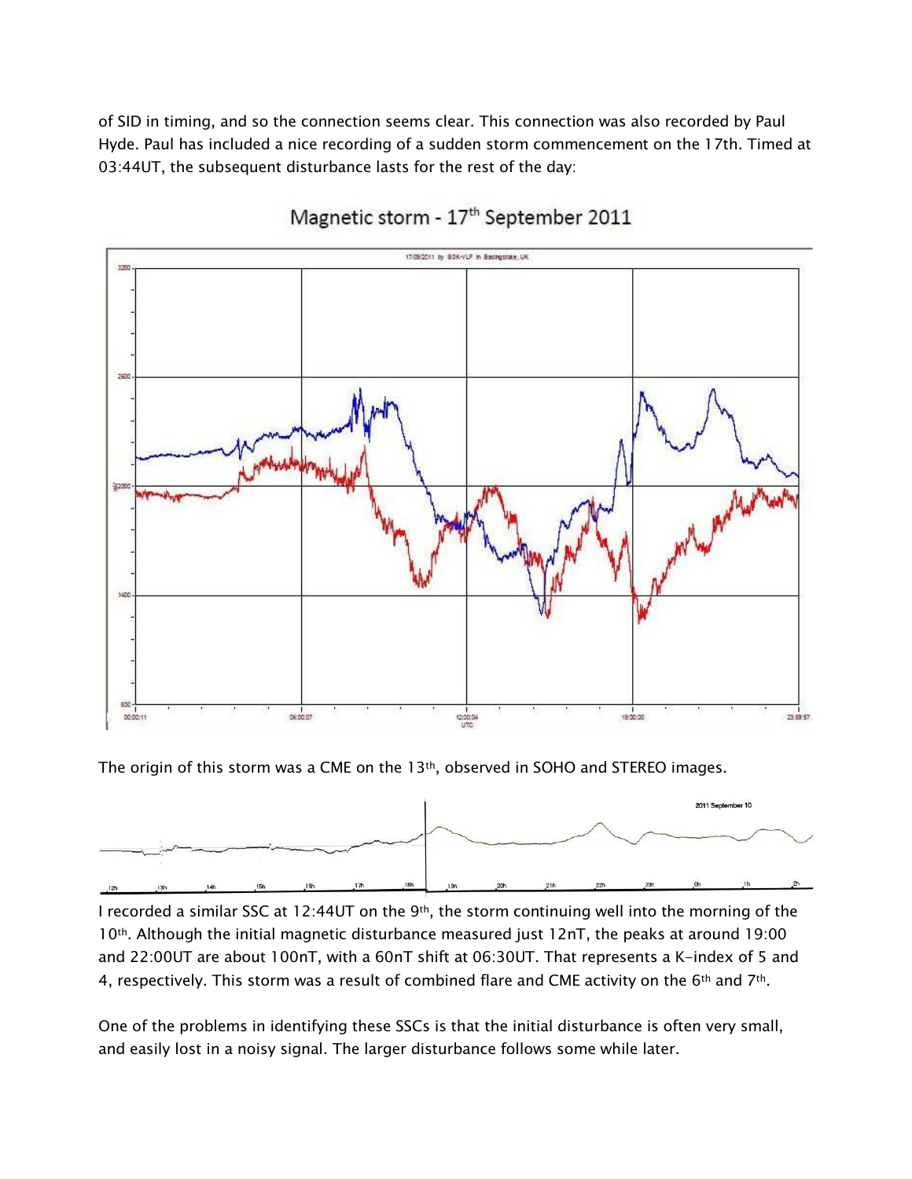of SID in timing, and so the connection seems clear. This connection was also recorded by Paul Hyde. Paul has included a nice recording of a sudden storm commencement on the 17th. Timed at 03:44UT, the subsequent disturbance lasts for the rest of the day:



# Magnetic storm - 17<sup>th</sup> September 2011

The origin of this storm was a CME on the  $13<sup>th</sup>$ , observed in SOHO and STEREO images.



I recorded a similar SSC at 12:44UT on the 9<sup>th</sup>, the storm continuing well into the morning of the 10th. Although the initial magnetic disturbance measured just 12nT, the peaks at around 19:00 and 22:00UT are about 100nT, with a 60nT shift at 06:30UT. That represents a K-index of 5 and 4, respectively. This storm was a result of combined flare and CME activity on the 6th and 7th.

One of the problems in identifying these SSCs is that the initial disturbance is often very small, and easily lost in a noisy signal. The larger disturbance follows some while later.